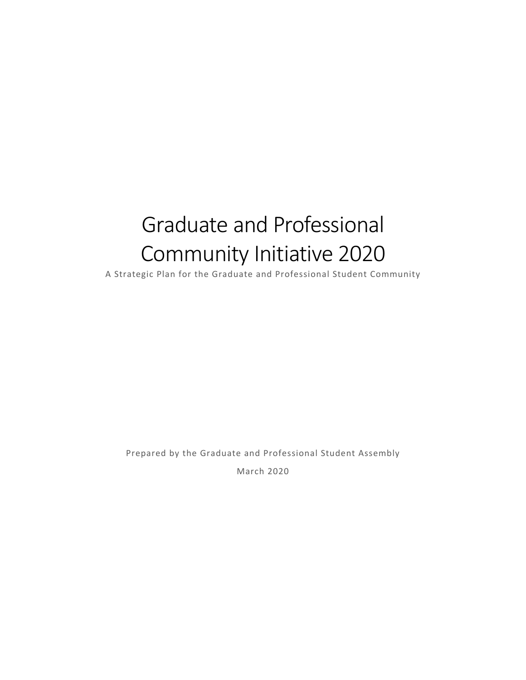# Graduate and Professional Community Initiative 2020

A Strategic Plan for the Graduate and Professional Student Community

Prepared by the Graduate and Professional Student Assembly

March 2020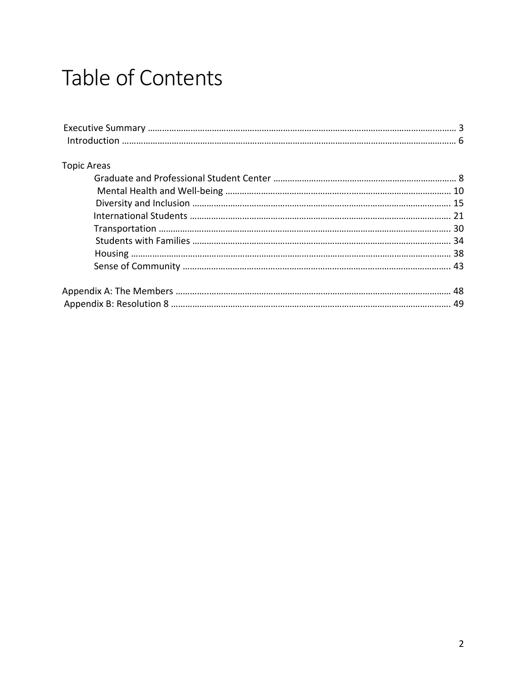# Table of Contents

| <b>Topic Areas</b> |  |
|--------------------|--|
|                    |  |
|                    |  |
|                    |  |
|                    |  |
|                    |  |
|                    |  |
|                    |  |
|                    |  |
|                    |  |
|                    |  |
|                    |  |
|                    |  |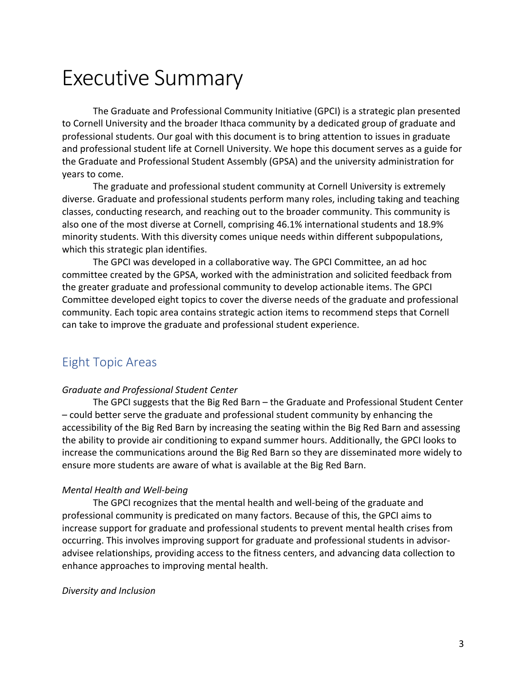## Executive Summary

 to Cornell University and the broader Ithaca community by a dedicated group of graduate and professional students. Our goal with this document is to bring attention to issues in graduate and professional student life at Cornell University. We hope this document serves as a guide for the Graduate and Professional Student Assembly (GPSA) and the university administration for years to come. The Graduate and Professional Community Initiative (GPCI) is a strategic plan presented

 diverse. Graduate and professional students perform many roles, including taking and teaching classes, conducting research, and reaching out to the broader community. This community is also one of the most diverse at Cornell, comprising 46.1% international students and 18.9% minority students. With this diversity comes unique needs within different subpopulations, which this strategic plan identifies. The graduate and professional student community at Cornell University is extremely

 committee created by the GPSA, worked with the administration and solicited feedback from the greater graduate and professional community to develop actionable items. The GPCI Committee developed eight topics to cover the diverse needs of the graduate and professional community. Each topic area contains strategic action items to recommend steps that Cornell can take to improve the graduate and professional student experience. The GPCI was developed in a collaborative way. The GPCI Committee, an ad hoc

## Eight Topic Areas

#### *Graduate and Professional Student Center*

 – could better serve the graduate and professional student community by enhancing the accessibility of the Big Red Barn by increasing the seating within the Big Red Barn and assessing the ability to provide air conditioning to expand summer hours. Additionally, the GPCI looks to increase the communications around the Big Red Barn so they are disseminated more widely to ensure more students are aware of what is available at the Big Red Barn. The GPCI suggests that the Big Red Barn – the Graduate and Professional Student Center

#### *Mental Health and Well-being*

 professional community is predicated on many factors. Because of this, the GPCI aims to increase support for graduate and professional students to prevent mental health crises from occurring. This involves improving support for graduate and professional students in advisor- advisee relationships, providing access to the fitness centers, and advancing data collection to enhance approaches to improving mental health. The GPCI recognizes that the mental health and well-being of the graduate and

#### *Diversity and Inclusion*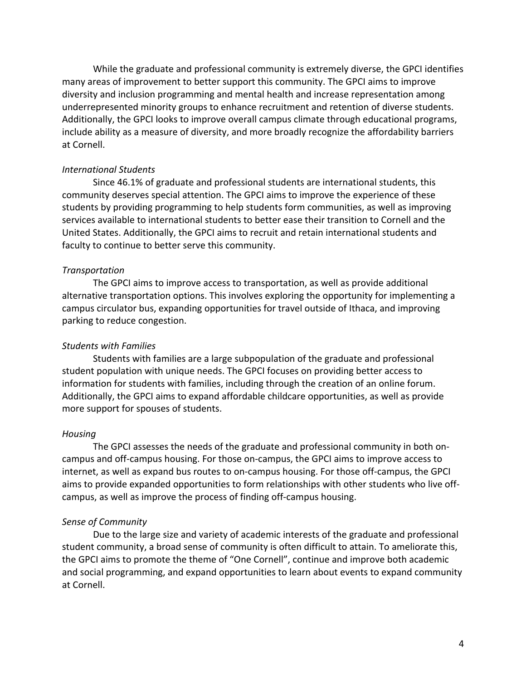While the graduate and professional community is extremely diverse, the GPCI identifies many areas of improvement to better support this community. The GPCI aims to improve diversity and inclusion programming and mental health and increase representation among underrepresented minority groups to enhance recruitment and retention of diverse students. Additionally, the GPCI looks to improve overall campus climate through educational programs, include ability as a measure of diversity, and more broadly recognize the affordability barriers at Cornell.

#### *International Students*

 community deserves special attention. The GPCI aims to improve the experience of these students by providing programming to help students form communities, as well as improving services available to international students to better ease their transition to Cornell and the United States. Additionally, the GPCI aims to recruit and retain international students and faculty to continue to better serve this community. Since 46.1% of graduate and professional students are international students, this

#### *Transportation*

 alternative transportation options. This involves exploring the opportunity for implementing a campus circulator bus, expanding opportunities for travel outside of Ithaca, and improving parking to reduce congestion. The GPCI aims to improve access to transportation, as well as provide additional

#### *Students with Families*

 Students with families are a large subpopulation of the graduate and professional student population with unique needs. The GPCI focuses on providing better access to information for students with families, including through the creation of an online forum. Additionally, the GPCI aims to expand affordable childcare opportunities, as well as provide more support for spouses of students.

#### *Housing*

 campus and off-campus housing. For those on-campus, the GPCI aims to improve access to internet, as well as expand bus routes to on-campus housing. For those off-campus, the GPCI aims to provide expanded opportunities to form relationships with other students who live off- campus, as well as improve the process of finding off-campus housing. The GPCI assesses the needs of the graduate and professional community in both on-

#### *Sense of Community*

 student community, a broad sense of community is often difficult to attain. To ameliorate this, the GPCI aims to promote the theme of "One Cornell", continue and improve both academic and social programming, and expand opportunities to learn about events to expand community Due to the large size and variety of academic interests of the graduate and professional at Cornell.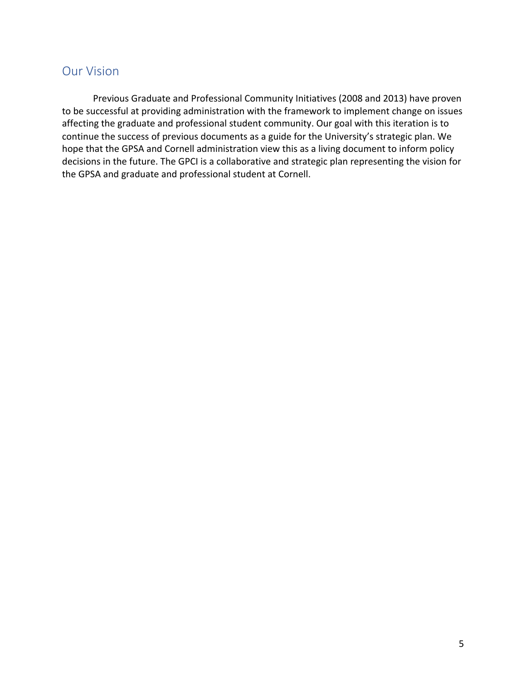## Our Vision

 Previous Graduate and Professional Community Initiatives (2008 and 2013) have proven to be successful at providing administration with the framework to implement change on issues affecting the graduate and professional student community. Our goal with this iteration is to continue the success of previous documents as a guide for the University's strategic plan. We hope that the GPSA and Cornell administration view this as a living document to inform policy decisions in the future. The GPCI is a collaborative and strategic plan representing the vision for the GPSA and graduate and professional student at Cornell.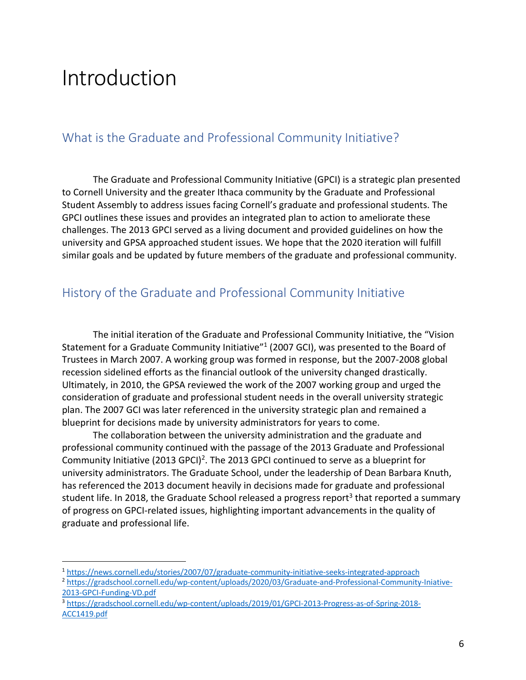## Introduction

## What is the Graduate and Professional Community Initiative?

 to Cornell University and the greater Ithaca community by the Graduate and Professional Student Assembly to address issues facing Cornell's graduate and professional students. The GPCI outlines these issues and provides an integrated plan to action to ameliorate these challenges. The 2013 GPCI served as a living document and provided guidelines on how the university and GPSA approached student issues. We hope that the 2020 iteration will fulfill similar goals and be updated by future members of the graduate and professional community. The Graduate and Professional Community Initiative (GPCI) is a strategic plan presented

## History of the Graduate and Professional Community Initiative

Statement for a Graduate Community Initiative<sup>"1</sup> (2007 GCI), was presented to the Board of Trustees in March 2007. A working group was formed in response, but the 2007-2008 global recession sidelined efforts as the financial outlook of the university changed drastically. Ultimately, in 2010, the GPSA reviewed the work of the 2007 working group and urged the consideration of graduate and professional student needs in the overall university strategic plan. The 2007 GCI was later referenced in the university strategic plan and remained a blueprint for decisions made by university administrators for years to come. The initial iteration of the Graduate and Professional Community Initiative, the "Vision

 professional community continued with the passage of the 2013 Graduate and Professional Community Initiative (2013 GPCI)<sup>2</sup>. The 2013 GPCI continued to serve as a blueprint for university administrators. The Graduate School, under the leadership of Dean Barbara Knuth, has referenced the 2013 document heavily in decisions made for graduate and professional student life. In 2018, the Graduate School released a progress report<sup>3</sup> that reported a summary of progress on GPCI-related issues, highlighting important advancements in the quality of graduate and professional life. The collaboration between the university administration and the graduate and

<sup>&</sup>lt;sup>1</sup> https://news.cornell.edu/stories/2007/07/graduate-community-initiative-seeks-integrated-approach

<sup>2013-</sup>GPCI-Funding-VD.pdf <sup>2</sup> [https://gradschool.cornell.edu/wp-content/uploads/2020/03/Graduate-and-Professional-Community-Iniative-](https://gradschool.cornell.edu/wp-content/uploads/2020/03/Graduate-and-Professional-Community-Iniative)

ACC1419.pdf <sup>3</sup> [https://gradschool.cornell.edu/wp-content/uploads/2019/01/GPCI-2013-Progress-as-of-Spring-2018-](https://gradschool.cornell.edu/wp-content/uploads/2019/01/GPCI-2013-Progress-as-of-Spring-2018) ACC1419.pdf 6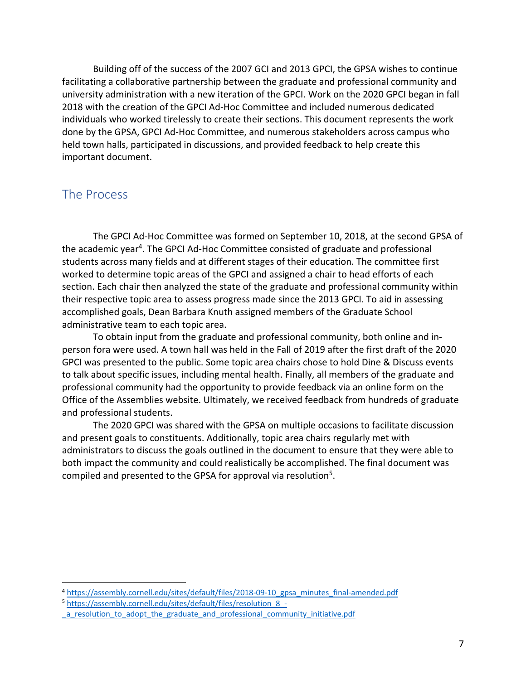Building off of the success of the 2007 GCI and 2013 GPCI, the GPSA wishes to continue facilitating a collaborative partnership between the graduate and professional community and university administration with a new iteration of the GPCI. Work on the 2020 GPCI began in fall 2018 with the creation of the GPCI Ad-Hoc Committee and included numerous dedicated individuals who worked tirelessly to create their sections. This document represents the work done by the GPSA, GPCI Ad-Hoc Committee, and numerous stakeholders across campus who held town halls, participated in discussions, and provided feedback to help create this important document.

## The Process

the academic year<sup>4</sup>. The GPCI Ad-Hoc Committee consisted of graduate and professional students across many fields and at different stages of their education. The committee first worked to determine topic areas of the GPCI and assigned a chair to head efforts of each section. Each chair then analyzed the state of the graduate and professional community within their respective topic area to assess progress made since the 2013 GPCI. To aid in assessing accomplished goals, Dean Barbara Knuth assigned members of the Graduate School administrative team to each topic area. The GPCI Ad-Hoc Committee was formed on September 10, 2018, at the second GPSA of

 person fora were used. A town hall was held in the Fall of 2019 after the first draft of the 2020 GPCI was presented to the public. Some topic area chairs chose to hold Dine & Discuss events to talk about specific issues, including mental health. Finally, all members of the graduate and professional community had the opportunity to provide feedback via an online form on the Office of the Assemblies website. Ultimately, we received feedback from hundreds of graduate and professional students. To obtain input from the graduate and professional community, both online and in-

 and present goals to constituents. Additionally, topic area chairs regularly met with administrators to discuss the goals outlined in the document to ensure that they were able to both impact the community and could realistically be accomplished. The final document was compiled and presented to the GPSA for approval via resolution<sup>5</sup>. The 2020 GPCI was shared with the GPSA on multiple occasions to facilitate discussion

<sup>&</sup>lt;sup>4</sup> [https://assembly.cornell.edu/sites/default/files/2018-09-10\\_gpsa\\_minutes\\_final-amended.pdf](https://assembly.cornell.edu/sites/default/files/2018-09-10_gpsa_minutes_final-amended.pdf)<br><sup>5</sup> [https://assembly.cornell.edu/sites/default/files/resolution\\_8](https://assembly.cornell.edu/sites/default/files/resolution_8)\_-

 \_a\_resolution\_to\_adopt\_the\_graduate\_and\_professional\_community\_initiative.pdf 7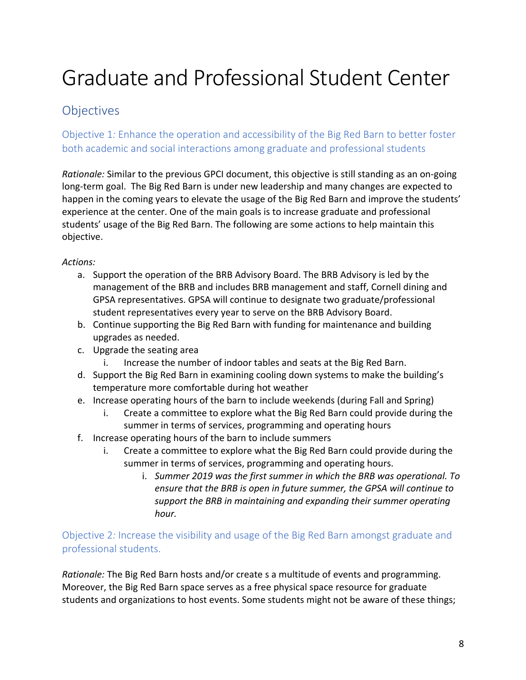# Graduate and Professional Student Center

## **Objectives**

 Objective 1*:* Enhance the operation and accessibility of the Big Red Barn to better foster both academic and social interactions among graduate and professional students

 *Rationale:* Similar to the previous GPCI document, this objective is still standing as an on-going long-term goal. The Big Red Barn is under new leadership and many changes are expected to happen in the coming years to elevate the usage of the Big Red Barn and improve the students' experience at the center. One of the main goals is to increase graduate and professional students' usage of the Big Red Barn. The following are some actions to help maintain this objective.

*Actions:* 

- a. Support the operation of the BRB Advisory Board. The BRB Advisory is led by the management of the BRB and includes BRB management and staff, Cornell dining and GPSA representatives. GPSA will continue to designate two graduate/professional student representatives every year to serve on the BRB Advisory Board.
- b. Continue supporting the Big Red Barn with funding for maintenance and building upgrades as needed.
- c. Upgrade the seating area
	- i. Increase the number of indoor tables and seats at the Big Red Barn.
- d. Support the Big Red Barn in examining cooling down systems to make the building's temperature more comfortable during hot weather
- e. Increase operating hours of the barn to include weekends (during Fall and Spring)
	- i. Create a committee to explore what the Big Red Barn could provide during the summer in terms of services, programming and operating hours
- f. Increase operating hours of the barn to include summers
	- i. Create a committee to explore what the Big Red Barn could provide during the summer in terms of services, programming and operating hours.
		- i. *Summer 2019 was the first summer in which the BRB was operational. To ensure that the BRB is open in future summer, the GPSA will continue to support the BRB in maintaining and expanding their summer operating hour.*

 Objective 2*:* Increase the visibility and usage of the Big Red Barn amongst graduate and professional students.

 *Rationale:* The Big Red Barn hosts and/or create s a multitude of events and programming. Moreover, the Big Red Barn space serves as a free physical space resource for graduate students and organizations to host events. Some students might not be aware of these things;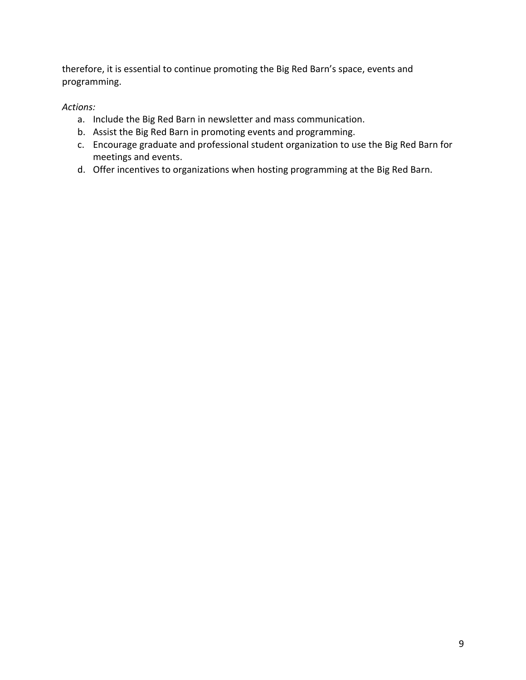therefore, it is essential to continue promoting the Big Red Barn's space, events and programming.

- a. Include the Big Red Barn in newsletter and mass communication.
- b. Assist the Big Red Barn in promoting events and programming.
- c. Encourage graduate and professional student organization to use the Big Red Barn for meetings and events.
- d. Offer incentives to organizations when hosting programming at the Big Red Barn.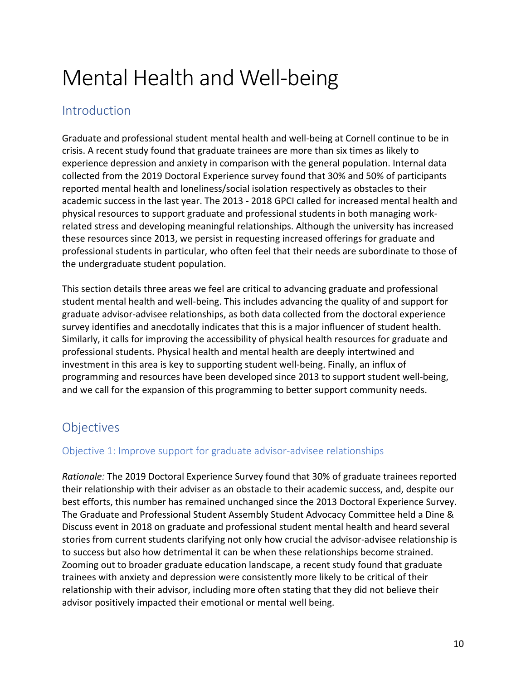# Mental Health and Well-being

## Introduction

 Graduate and professional student mental health and well-being at Cornell continue to be in crisis. A recent study found that graduate trainees are more than six times as likely to experience depression and anxiety in comparison with the general population. Internal data collected from the 2019 Doctoral Experience survey found that 30% and 50% of participants reported mental health and loneliness/social isolation respectively as obstacles to their academic success in the last year. The 2013 - 2018 GPCI called for increased mental health and physical resources to support graduate and professional students in both managing work- related stress and developing meaningful relationships. Although the university has increased these resources since 2013, we persist in requesting increased offerings for graduate and professional students in particular, who often feel that their needs are subordinate to those of the undergraduate student population.

the undergraduate student population.<br>This section details three areas we feel are critical to advancing graduate and professional student mental health and well-being. This includes advancing the quality of and support for graduate advisor-advisee relationships, as both data collected from the doctoral experience survey identifies and anecdotally indicates that this is a major influencer of student health. Similarly, it calls for improving the accessibility of physical health resources for graduate and professional students. Physical health and mental health are deeply intertwined and investment in this area is key to supporting student well-being. Finally, an influx of programming and resources have been developed since 2013 to support student well-being, and we call for the expansion of this programming to better support community needs.

## **Objectives**

### Objective 1: Improve support for graduate advisor-advisee relationships

 *Rationale:* The 2019 Doctoral Experience Survey found that 30% of graduate trainees reported their relationship with their adviser as an obstacle to their academic success, and, despite our best efforts, this number has remained unchanged since the 2013 Doctoral Experience Survey. The Graduate and Professional Student Assembly Student Advocacy Committee held a Dine & Discuss event in 2018 on graduate and professional student mental health and heard several stories from current students clarifying not only how crucial the advisor-advisee relationship is to success but also how detrimental it can be when these relationships become strained. Zooming out to broader graduate education landscape, a recent study found that graduate trainees with anxiety and depression were consistently more likely to be critical of their relationship with their advisor, including more often stating that they did not believe their advisor positively impacted their emotional or mental well being.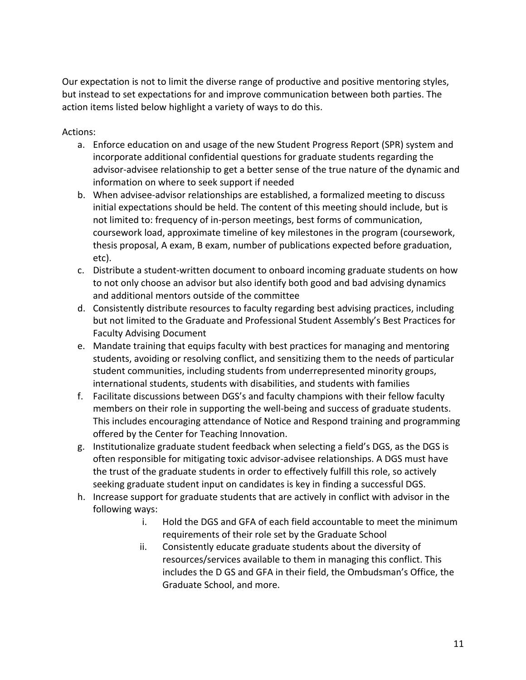Our expectation is not to limit the diverse range of productive and positive mentoring styles, but instead to set expectations for and improve communication between both parties. The action items listed below highlight a variety of ways to do this.

- Actions:<br>a. Enforce education on and usage of the new Student Progress Report (SPR) system and incorporate additional confidential questions for graduate students regarding the advisor-advisee relationship to get a better sense of the true nature of the dynamic and information on where to seek support if needed
	- b. When advisee-advisor relationships are established, a formalized meeting to discuss initial expectations should be held. The content of this meeting should include, but is not limited to: frequency of in-person meetings, best forms of communication, coursework load, approximate timeline of key milestones in the program (coursework, thesis proposal, A exam, B exam, number of publications expected before graduation, etc).
	- c. Distribute a student-written document to onboard incoming graduate students on how to not only choose an advisor but also identify both good and bad advising dynamics and additional mentors outside of the committee
	- d. Consistently distribute resources to faculty regarding best advising practices, including but not limited to the Graduate and Professional Student Assembly's Best Practices for Faculty Advising Document
	- e. Mandate training that equips faculty with best practices for managing and mentoring students, avoiding or resolving conflict, and sensitizing them to the needs of particular student communities, including students from underrepresented minority groups, international students, students with disabilities, and students with families
	- f. Facilitate discussions between DGS's and faculty champions with their fellow faculty members on their role in supporting the well-being and success of graduate students. This includes encouraging attendance of Notice and Respond training and programming offered by the Center for Teaching Innovation.
	- g. Institutionalize graduate student feedback when selecting a field's DGS, as the DGS is often responsible for mitigating toxic advisor-advisee relationships. A DGS must have the trust of the graduate students in order to effectively fulfill this role, so actively seeking graduate student input on candidates is key in finding a successful DGS.
	- h. Increase support for graduate students that are actively in conflict with advisor in the following ways:
		- i. Hold the DGS and GFA of each field accountable to meet the minimum requirements of their role set by the Graduate School
		- ii. Consistently educate graduate students about the diversity of resources/services available to them in managing this conflict. This includes the D GS and GFA in their field, the Ombudsman's Office, the Graduate School, and more.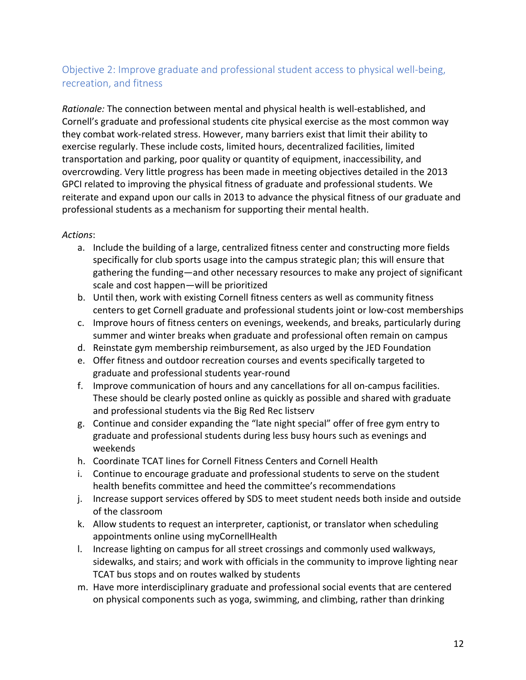## Objective 2: Improve graduate and professional student access to physical well-being, recreation, and fitness

 *Rationale:* The connection between mental and physical health is well-established, and Cornell's graduate and professional students cite physical exercise as the most common way they combat work-related stress. However, many barriers exist that limit their ability to exercise regularly. These include costs, limited hours, decentralized facilities, limited transportation and parking, poor quality or quantity of equipment, inaccessibility, and overcrowding. Very little progress has been made in meeting objectives detailed in the 2013 GPCI related to improving the physical fitness of graduate and professional students. We reiterate and expand upon our calls in 2013 to advance the physical fitness of our graduate and professional students as a mechanism for supporting their mental health.

- a. Include the building of a large, centralized fitness center and constructing more fields specifically for club sports usage into the campus strategic plan; this will ensure that gathering the funding—and other necessary resources to make any project of significant scale and cost happen—will be prioritized
- b. Until then, work with existing Cornell fitness centers as well as community fitness centers to get Cornell graduate and professional students joint or low-cost memberships
- c. Improve hours of fitness centers on evenings, weekends, and breaks, particularly during summer and winter breaks when graduate and professional often remain on campus
- d. Reinstate gym membership reimbursement, as also urged by the JED Foundation
- e. Offer fitness and outdoor recreation courses and events specifically targeted to graduate and professional students year-round
- f. Improve communication of hours and any cancellations for all on-campus facilities. These should be clearly posted online as quickly as possible and shared with graduate and professional students via the Big Red Rec listserv
- g. Continue and consider expanding the "late night special" offer of free gym entry to graduate and professional students during less busy hours such as evenings and weekends
- h. Coordinate TCAT lines for Cornell Fitness Centers and Cornell Health
- i. Continue to encourage graduate and professional students to serve on the student health benefits committee and heed the committee's recommendations
- j. Increase support services offered by SDS to meet student needs both inside and outside of the classroom
- k. Allow students to request an interpreter, captionist, or translator when scheduling appointments online using myCornellHealth
- l. Increase lighting on campus for all street crossings and commonly used walkways, sidewalks, and stairs; and work with officials in the community to improve lighting near TCAT bus stops and on routes walked by students
- m. Have more interdisciplinary graduate and professional social events that are centered on physical components such as yoga, swimming, and climbing, rather than drinking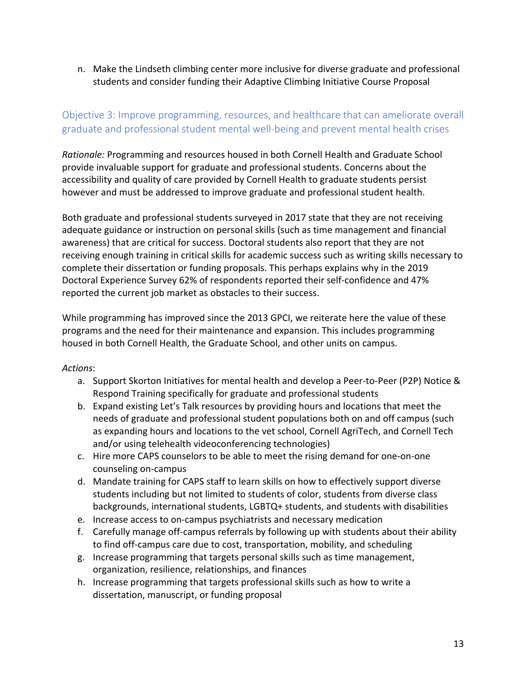n. Make the Lindseth climbing center more inclusive for diverse graduate and professional students and consider funding their Adaptive Climbing Initiative Course Proposal

## Objective 3: Improve programming, resources, and healthcare that can ameliorate overall graduate and professional student mental well-being and prevent mental health crises

 *Rationale:* Programming and resources housed in both Cornell Health and Graduate School provide invaluable support for graduate and professional students. Concerns about the accessibility and quality of care provided by Cornell Health to graduate students persist however and must be addressed to improve graduate and professional student health.

 Both graduate and professional students surveyed in 2017 state that they are not receiving adequate guidance or instruction on personal skills (such as time management and financial awareness) that are critical for success. Doctoral students also report that they are not receiving enough training in critical skills for academic success such as writing skills necessary to complete their dissertation or funding proposals. This perhaps explains why in the 2019 Doctoral Experience Survey 62% of respondents reported their self-confidence and 47% reported the current job market as obstacles to their success.

 While programming has improved since the 2013 GPCI, we reiterate here the value of these programs and the need for their maintenance and expansion. This includes programming housed in both Cornell Health, the Graduate School, and other units on campus.

- a. Support Skorton Initiatives for mental health and develop a Peer-to-Peer (P2P) Notice & Respond Training specifically for graduate and professional students
- b. Expand existing Let's Talk resources by providing hours and locations that meet the needs of graduate and professional student populations both on and off campus (such as expanding hours and locations to the vet school, Cornell AgriTech, and Cornell Tech and/or using telehealth videoconferencing technologies)
- c. Hire more CAPS counselors to be able to meet the rising demand for one-on-one counseling on-campus
- d. Mandate training for CAPS staff to learn skills on how to effectively support diverse students including but not limited to students of color, students from diverse class backgrounds, international students, LGBTQ+ students, and students with disabilities
- e. Increase access to on-campus psychiatrists and necessary medication
- f. Carefully manage off-campus referrals by following up with students about their ability to find off-campus care due to cost, transportation, mobility, and scheduling
- g. Increase programming that targets personal skills such as time management, organization, resilience, relationships, and finances
- h. Increase programming that targets professional skills such as how to write a dissertation, manuscript, or funding proposal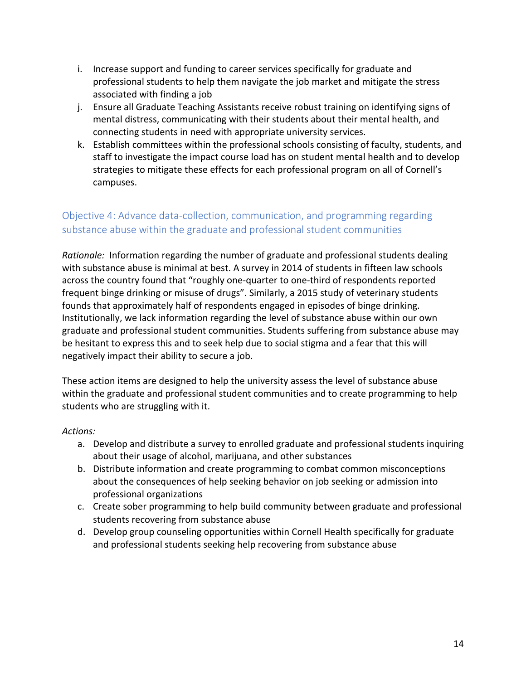- i. Increase support and funding to career services specifically for graduate and professional students to help them navigate the job market and mitigate the stress associated with finding a job
- j. Ensure all Graduate Teaching Assistants receive robust training on identifying signs of mental distress, communicating with their students about their mental health, and connecting students in need with appropriate university services.
- k. Establish committees within the professional schools consisting of faculty, students, and staff to investigate the impact course load has on student mental health and to develop strategies to mitigate these effects for each professional program on all of Cornell's campuses.

## Objective 4: Advance data-collection, communication, and programming regarding substance abuse within the graduate and professional student communities

 *Rationale:* Information regarding the number of graduate and professional students dealing with substance abuse is minimal at best. A survey in 2014 of students in fifteen law schools across the country found that "roughly one-quarter to one-third of respondents reported frequent binge drinking or misuse of drugs". Similarly, a 2015 study of veterinary students founds that approximately half of respondents engaged in episodes of binge drinking. Institutionally, we lack information regarding the level of substance abuse within our own graduate and professional student communities. Students suffering from substance abuse may be hesitant to express this and to seek help due to social stigma and a fear that this will negatively impact their ability to secure a job.

 These action items are designed to help the university assess the level of substance abuse within the graduate and professional student communities and to create programming to help students who are struggling with it.

- a. Develop and distribute a survey to enrolled graduate and professional students inquiring about their usage of alcohol, marijuana, and other substances
- b. Distribute information and create programming to combat common misconceptions about the consequences of help seeking behavior on job seeking or admission into professional organizations
- c. Create sober programming to help build community between graduate and professional students recovering from substance abuse
- d. Develop group counseling opportunities within Cornell Health specifically for graduate and professional students seeking help recovering from substance abuse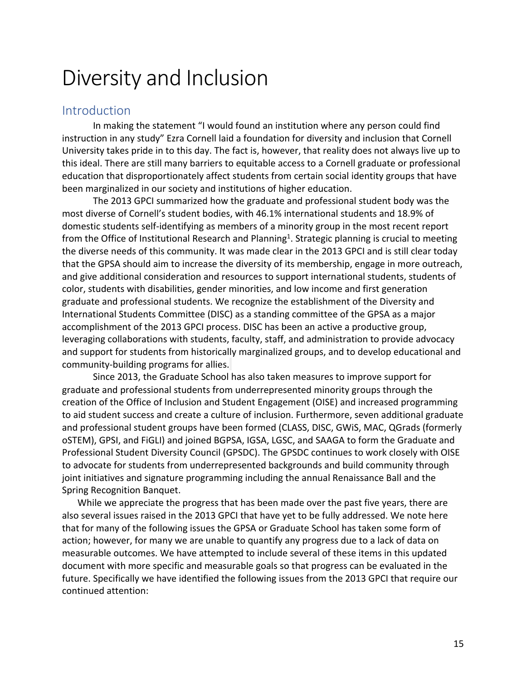## Diversity and Inclusion

## Introduction

 In making the statement "I would found an institution where any person could find instruction in any study" Ezra Cornell laid a foundation for diversity and inclusion that Cornell University takes pride in to this day. The fact is, however, that reality does not always live up to this ideal. There are still many barriers to equitable access to a Cornell graduate or professional education that disproportionately affect students from certain social identity groups that have been marginalized in our society and institutions of higher education.

 The 2013 GPCI summarized how the graduate and professional student body was the most diverse of Cornell's student bodies, with 46.1% international students and 18.9% of domestic students self-identifying as members of a minority group in the most recent report from the Office of Institutional Research and Planning<sup>1</sup>. Strategic planning is crucial to meeting the diverse needs of this community. It was made clear in the 2013 GPCI and is still clear today that the GPSA should aim to increase the diversity of its membership, engage in more outreach, and give additional consideration and resources to support international students, students of color, students with disabilities, gender minorities, and low income and first generation graduate and professional students. We recognize the establishment of the Diversity and International Students Committee (DISC) as a standing committee of the GPSA as a major accomplishment of the 2013 GPCI process. DISC has been an active a productive group, leveraging collaborations with students, faculty, staff, and administration to provide advocacy and support for students from historically marginalized groups, and to develop educational and community-building programs for allies.

 Since 2013, the Graduate School has also taken measures to improve support for graduate and professional students from underrepresented minority groups through the creation of the Office of Inclusion and Student Engagement (OISE) and increased programming to aid student success and create a culture of inclusion. Furthermore, seven additional graduate and professional student groups have been formed (CLASS, DISC, GWiS, MAC, QGrads (formerly oSTEM), GPSI, and FiGLI) and joined BGPSA, IGSA, LGSC, and SAAGA to form the Graduate and Professional Student Diversity Council (GPSDC). The GPSDC continues to work closely with OISE to advocate for students from underrepresented backgrounds and build community through joint initiatives and signature programming including the annual Renaissance Ball and the Spring Recognition Banquet.

 While we appreciate the progress that has been made over the past five years, there are also several issues raised in the 2013 GPCI that have yet to be fully addressed. We note here that for many of the following issues the GPSA or Graduate School has taken some form of action; however, for many we are unable to quantify any progress due to a lack of data on measurable outcomes. We have attempted to include several of these items in this updated document with more specific and measurable goals so that progress can be evaluated in the future. Specifically we have identified the following issues from the 2013 GPCI that require our continued attention: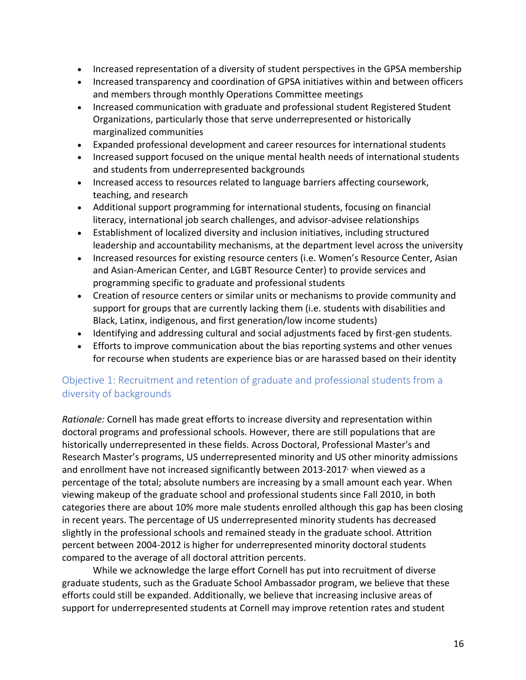- Increased representation of a diversity of student perspectives in the GPSA membership
- • Increased transparency and coordination of GPSA initiatives within and between officers and members through monthly Operations Committee meetings
- • Increased communication with graduate and professional student Registered Student Organizations, particularly those that serve underrepresented or historically marginalized communities
- Expanded professional development and career resources for international students
- • Increased support focused on the unique mental health needs of international students and students from underrepresented backgrounds
- • Increased access to resources related to language barriers affecting coursework, teaching, and research
- • Additional support programming for international students, focusing on financial literacy, international job search challenges, and advisor-advisee relationships
- • Establishment of localized diversity and inclusion initiatives, including structured leadership and accountability mechanisms, at the department level across the university
- • Increased resources for existing resource centers (i.e. Women's Resource Center, Asian and Asian-American Center, and LGBT Resource Center) to provide services and programming specific to graduate and professional students
- • Creation of resource centers or similar units or mechanisms to provide community and support for groups that are currently lacking them (i.e. students with disabilities and Black, Latinx, indigenous, and first generation/low income students)
- Identifying and addressing cultural and social adjustments faced by first-gen students.
- • Efforts to improve communication about the bias reporting systems and other venues for recourse when students are experience bias or are harassed based on their identity

## Objective 1: Recruitment and retention of graduate and professional students from a diversity of backgrounds

 *Rationale:* Cornell has made great efforts to increase diversity and representation within doctoral programs and professional schools. However, there are still populations that are historically underrepresented in these fields. Across Doctoral, Professional Master's and Research Master's programs, US underrepresented minority and US other minority admissions and enrollment have not increased significantly between 2013-2017 $\cdot$  when viewed as a percentage of the total; absolute numbers are increasing by a small amount each year. When viewing makeup of the graduate school and professional students since Fall 2010, in both categories there are about 10% more male students enrolled although this gap has been closing in recent years. The percentage of US underrepresented minority students has decreased slightly in the professional schools and remained steady in the graduate school. Attrition percent between 2004-2012 is higher for underrepresented minority doctoral students compared to the average of all doctoral attrition percents.

 While we acknowledge the large effort Cornell has put into recruitment of diverse graduate students, such as the Graduate School Ambassador program, we believe that these efforts could still be expanded. Additionally, we believe that increasing inclusive areas of support for underrepresented students at Cornell may improve retention rates and student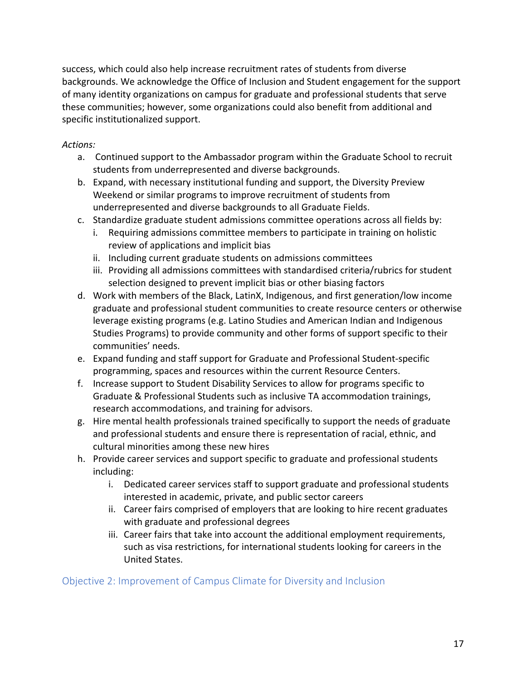success, which could also help increase recruitment rates of students from diverse backgrounds. We acknowledge the Office of Inclusion and Student engagement for the support of many identity organizations on campus for graduate and professional students that serve these communities; however, some organizations could also benefit from additional and specific institutionalized support.

#### *Actions:*

- a. Continued support to the Ambassador program within the Graduate School to recruit students from underrepresented and diverse backgrounds.
- b. Expand, with necessary institutional funding and support, the Diversity Preview Weekend or similar programs to improve recruitment of students from underrepresented and diverse backgrounds to all Graduate Fields.
- c. Standardize graduate student admissions committee operations across all fields by:
	- i. Requiring admissions committee members to participate in training on holistic review of applications and implicit bias
	- ii. Including current graduate students on admissions committees
	- iii. Providing all admissions committees with standardised criteria/rubrics for student selection designed to prevent implicit bias or other biasing factors
- d. Work with members of the Black, LatinX, Indigenous, and first generation/low income graduate and professional student communities to create resource centers or otherwise leverage existing programs (e.g. Latino Studies and American Indian and Indigenous Studies Programs) to provide community and other forms of support specific to their communities' needs.
- e. Expand funding and staff support for Graduate and Professional Student-specific programming, spaces and resources within the current Resource Centers.
- f. Increase support to Student Disability Services to allow for programs specific to Graduate & Professional Students such as inclusive TA accommodation trainings, research accommodations, and training for advisors.
- g. Hire mental health professionals trained specifically to support the needs of graduate and professional students and ensure there is representation of racial, ethnic, and cultural minorities among these new hires
- h. Provide career services and support specific to graduate and professional students including:
	- i. Dedicated career services staff to support graduate and professional students interested in academic, private, and public sector careers
	- ii. Career fairs comprised of employers that are looking to hire recent graduates with graduate and professional degrees
	- iii. Career fairs that take into account the additional employment requirements, such as visa restrictions, for international students looking for careers in the United States.

Objective 2: Improvement of Campus Climate for Diversity and Inclusion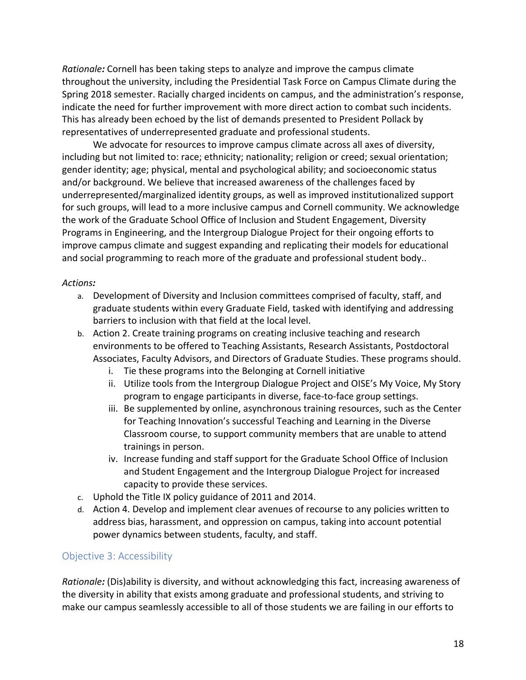*Rationale:* Cornell has been taking steps to analyze and improve the campus climate throughout the university, including the Presidential Task Force on Campus Climate during the Spring 2018 semester. Racially charged incidents on campus, and the administration's response, indicate the need for further improvement with more direct action to combat such incidents. This has already been echoed by the list of demands presented to President Pollack by representatives of underrepresented graduate and professional students.

 We advocate for resources to improve campus climate across all axes of diversity, including but not limited to: race; ethnicity; nationality; religion or creed; sexual orientation; gender identity; age; physical, mental and psychological ability; and socioeconomic status and/or background. We believe that increased awareness of the challenges faced by underrepresented/marginalized identity groups, as well as improved institutionalized support for such groups, will lead to a more inclusive campus and Cornell community. We acknowledge the work of the Graduate School Office of Inclusion and Student Engagement, Diversity Programs in Engineering, and the Intergroup Dialogue Project for their ongoing efforts to improve campus climate and suggest expanding and replicating their models for educational and social programming to reach more of the graduate and professional student body..

#### *Actions:*

- a. Development of Diversity and Inclusion committees comprised of faculty, staff, and graduate students within every Graduate Field, tasked with identifying and addressing barriers to inclusion with that field at the local level.
- b. Action 2. Create training programs on creating inclusive teaching and research environments to be offered to Teaching Assistants, Research Assistants, Postdoctoral Associates, Faculty Advisors, and Directors of Graduate Studies. These programs should.
	- i. Tie these programs into the Belonging at Cornell initiative
	- ii. Utilize tools from the Intergroup Dialogue Project and OISE's My Voice, My Story program to engage participants in diverse, face-to-face group settings.
	- iii. Be supplemented by online, asynchronous training resources, such as the Center for Teaching Innovation's successful Teaching and Learning in the Diverse Classroom course, to support community members that are unable to attend trainings in person.
	- iv. Increase funding and staff support for the Graduate School Office of Inclusion and Student Engagement and the Intergroup Dialogue Project for increased capacity to provide these services.
- c. Uphold the Title IX policy guidance of 2011 and 2014.
- d. Action 4. Develop and implement clear avenues of recourse to any policies written to address bias, harassment, and oppression on campus, taking into account potential power dynamics between students, faculty, and staff.

#### Objective 3: Accessibility

 *Rationale:* (Dis)ability is diversity, and without acknowledging this fact, increasing awareness of the diversity in ability that exists among graduate and professional students, and striving to make our campus seamlessly accessible to all of those students we are failing in our efforts to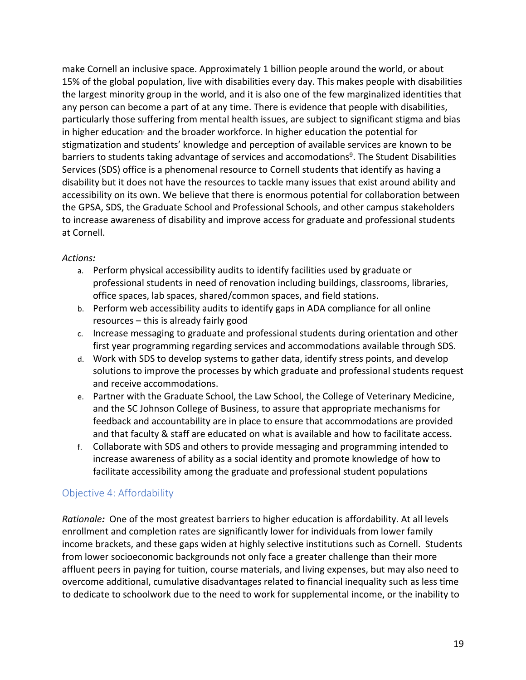make Cornell an inclusive space. Approximately 1 billion people around the world, or about 15% of the global population, live with disabilities every day. This makes people with disabilities the largest minority group in the world, and it is also one of the few marginalized identities that any person can become a part of at any time. There is evidence that people with disabilities, particularly those suffering from mental health issues, are subject to significant stigma and bias in higher education<sup>,</sup> and the broader workforce. In higher education the potential for stigmatization and students' knowledge and perception of available services are known to be barriers to students taking advantage of services and accomodations<sup>9</sup>. The Student Disabilities Services (SDS) office is a phenomenal resource to Cornell students that identify as having a disability but it does not have the resources to tackle many issues that exist around ability and accessibility on its own. We believe that there is enormous potential for collaboration between the GPSA, SDS, the Graduate School and Professional Schools, and other campus stakeholders to increase awareness of disability and improve access for graduate and professional students at Cornell.

#### *Actions:*

- a. Perform physical accessibility audits to identify facilities used by graduate or professional students in need of renovation including buildings, classrooms, libraries, office spaces, lab spaces, shared/common spaces, and field stations.
- b. Perform web accessibility audits to identify gaps in ADA compliance for all online resources – this is already fairly good
- c. Increase messaging to graduate and professional students during orientation and other first year programming regarding services and accommodations available through SDS.
- d. Work with SDS to develop systems to gather data, identify stress points, and develop solutions to improve the processes by which graduate and professional students request and receive accommodations.
- e. Partner with the Graduate School, the Law School, the College of Veterinary Medicine, and the SC Johnson College of Business, to assure that appropriate mechanisms for feedback and accountability are in place to ensure that accommodations are provided and that faculty & staff are educated on what is available and how to facilitate access.
- f. Collaborate with SDS and others to provide messaging and programming intended to increase awareness of ability as a social identity and promote knowledge of how to facilitate accessibility among the graduate and professional student populations

### Objective 4: Affordability

 *Rationale:* One of the most greatest barriers to higher education is affordability. At all levels enrollment and completion rates are significantly lower for individuals from lower family income brackets, and these gaps widen at highly selective institutions such as Cornell. Students from lower socioeconomic backgrounds not only face a greater challenge than their more affluent peers in paying for tuition, course materials, and living expenses, but may also need to overcome additional, cumulative disadvantages related to financial inequality such as less time to dedicate to schoolwork due to the need to work for supplemental income, or the inability to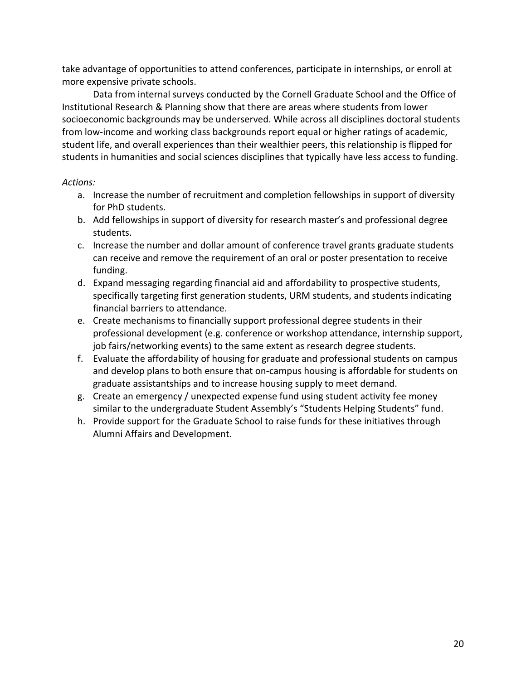take advantage of opportunities to attend conferences, participate in internships, or enroll at more expensive private schools.

 Data from internal surveys conducted by the Cornell Graduate School and the Office of Institutional Research & Planning show that there are areas where students from lower socioeconomic backgrounds may be underserved. While across all disciplines doctoral students from low-income and working class backgrounds report equal or higher ratings of academic, student life, and overall experiences than their wealthier peers, this relationship is flipped for students in humanities and social sciences disciplines that typically have less access to funding.

- a. Increase the number of recruitment and completion fellowships in support of diversity for PhD students.
- b. Add fellowships in support of diversity for research master's and professional degree students.
- c. Increase the number and dollar amount of conference travel grants graduate students can receive and remove the requirement of an oral or poster presentation to receive funding.
- funding. d. Expand messaging regarding financial aid and affordability to prospective students, specifically targeting first generation students, URM students, and students indicating financial barriers to attendance.
- e. Create mechanisms to financially support professional degree students in their professional development (e.g. conference or workshop attendance, internship support, job fairs/networking events) to the same extent as research degree students.
- f. Evaluate the affordability of housing for graduate and professional students on campus and develop plans to both ensure that on-campus housing is affordable for students on graduate assistantships and to increase housing supply to meet demand.
- g. Create an emergency / unexpected expense fund using student activity fee money similar to the undergraduate Student Assembly's "Students Helping Students" fund.
- h. Provide support for the Graduate School to raise funds for these initiatives through Alumni Affairs and Development.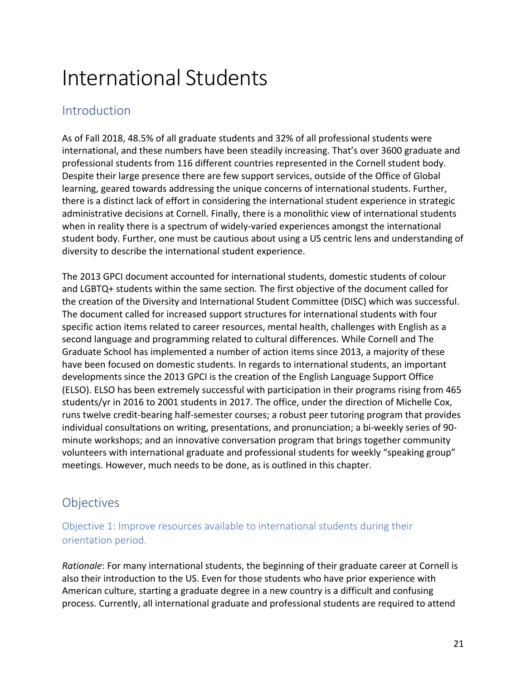# International Students

## **Introduction**

 As of Fall 2018, 48.5% of all graduate students and 32% of all professional students were international, and these numbers have been steadily increasing. That's over 3600 graduate and professional students from 116 different countries represented in the Cornell student body. Despite their large presence there are few support services, outside of the Office of Global learning, geared towards addressing the unique concerns of international students. Further, there is a distinct lack of effort in considering the international student experience in strategic administrative decisions at Cornell. Finally, there is a monolithic view of international students when in reality there is a spectrum of widely-varied experiences amongst the international student body. Further, one must be cautious about using a US centric lens and understanding of diversity to describe the international student experience.

 The 2013 GPCI document accounted for international students, domestic students of colour and LGBTQ+ students within the same section. The first objective of the document called for the creation of the Diversity and International Student Committee (DISC) which was successful. The document called for increased support structures for international students with four specific action items related to career resources, mental health, challenges with English as a second language and programming related to cultural differences. While Cornell and The Graduate School has implemented a number of action items since 2013, a majority of these have been focused on domestic students. In regards to international students, an important developments since the 2013 GPCI is the creation of the English Language Support Office (ELSO). ELSO has been extremely successful with participation in their programs rising from 465 students/yr in 2016 to 2001 students in 2017. The office, under the direction of Michelle Cox, runs twelve credit-bearing half-semester courses; a robust peer tutoring program that provides individual consultations on writing, presentations, and pronunciation; a bi-weekly series of 90- minute workshops; and an innovative conversation program that brings together community volunteers with international graduate and professional students for weekly "speaking group" meetings. However, much needs to be done, as is outlined in this chapter.

## Objectives

## Objective 1: Improve resources available to international students during their orientation period.

 *Rationale*: For many international students, the beginning of their graduate career at Cornell is also their introduction to the US. Even for those students who have prior experience with American culture, starting a graduate degree in a new country is a difficult and confusing process. Currently, all international graduate and professional students are required to attend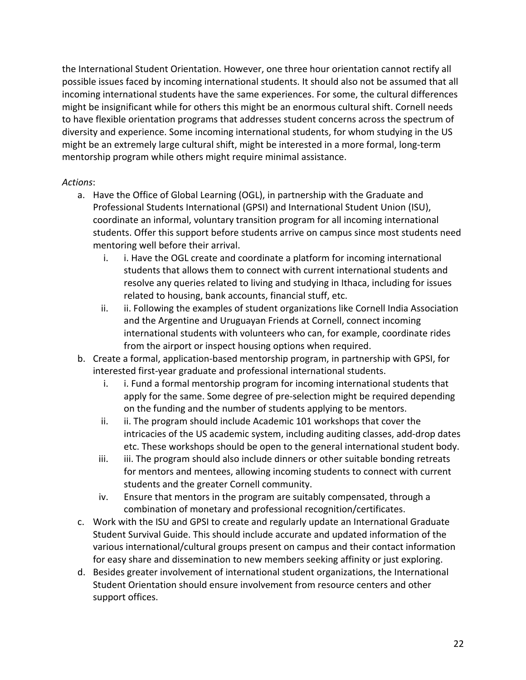the International Student Orientation. However, one three hour orientation cannot rectify all possible issues faced by incoming international students. It should also not be assumed that all incoming international students have the same experiences. For some, the cultural differences might be insignificant while for others this might be an enormous cultural shift. Cornell needs to have flexible orientation programs that addresses student concerns across the spectrum of diversity and experience. Some incoming international students, for whom studying in the US might be an extremely large cultural shift, might be interested in a more formal, long-term mentorship program while others might require minimal assistance.

- a. Have the Office of Global Learning (OGL), in partnership with the Graduate and Professional Students International (GPSI) and International Student Union (ISU), coordinate an informal, voluntary transition program for all incoming international students. Offer this support before students arrive on campus since most students need mentoring well before their arrival.
	- i. i. Have the OGL create and coordinate a platform for incoming international students that allows them to connect with current international students and resolve any queries related to living and studying in Ithaca, including for issues related to housing, bank accounts, financial stuff, etc.
	- ii. ii. Following the examples of student organizations like Cornell India Association and the Argentine and Uruguayan Friends at Cornell, connect incoming international students with volunteers who can, for example, coordinate rides from the airport or inspect housing options when required.
- b. Create a formal, application-based mentorship program, in partnership with GPSI, for interested first-year graduate and professional international students.
	- i. i. Fund a formal mentorship program for incoming international students that apply for the same. Some degree of pre-selection might be required depending on the funding and the number of students applying to be mentors.
	- ii. ii. The program should include Academic 101 workshops that cover the intricacies of the US academic system, including auditing classes, add-drop dates etc. These workshops should be open to the general international student body.
	- iii. iii. The program should also include dinners or other suitable bonding retreats for mentors and mentees, allowing incoming students to connect with current students and the greater Cornell community.
	- iv. Ensure that mentors in the program are suitably compensated, through a combination of monetary and professional recognition/certificates.
- c. Work with the ISU and GPSI to create and regularly update an International Graduate Student Survival Guide. This should include accurate and updated information of the various international/cultural groups present on campus and their contact information for easy share and dissemination to new members seeking affinity or just exploring.
- d. Besides greater involvement of international student organizations, the International Student Orientation should ensure involvement from resource centers and other support offices.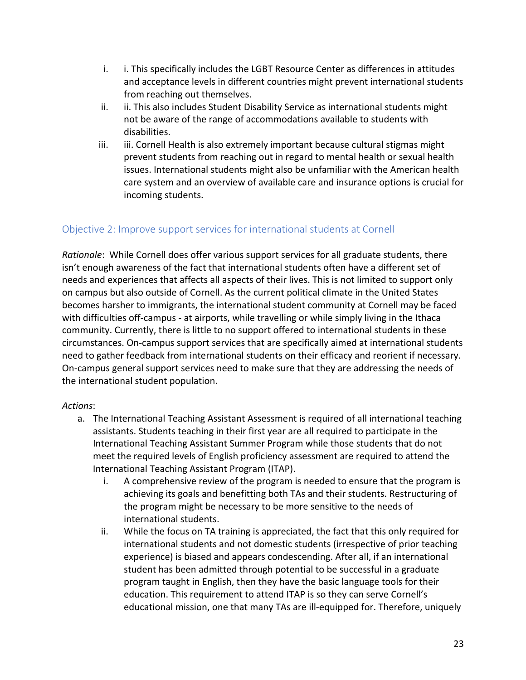- i. i. This specifically includes the LGBT Resource Center as differences in attitudes and acceptance levels in different countries might prevent international students from reaching out themselves.
- ii. ii. This also includes Student Disability Service as international students might not be aware of the range of accommodations available to students with disabilities.
- iii. iii. Cornell Health is also extremely important because cultural stigmas might prevent students from reaching out in regard to mental health or sexual health issues. International students might also be unfamiliar with the American health care system and an overview of available care and insurance options is crucial for incoming students.

## Objective 2: Improve support services for international students at Cornell

 *Rationale*: While Cornell does offer various support services for all graduate students, there isn't enough awareness of the fact that international students often have a different set of needs and experiences that affects all aspects of their lives. This is not limited to support only on campus but also outside of Cornell. As the current political climate in the United States becomes harsher to immigrants, the international student community at Cornell may be faced with difficulties off-campus - at airports, while travelling or while simply living in the Ithaca community. Currently, there is little to no support offered to international students in these circumstances. On-campus support services that are specifically aimed at international students need to gather feedback from international students on their efficacy and reorient if necessary. On-campus general support services need to make sure that they are addressing the needs of the international student population.

- a. The International Teaching Assistant Assessment is required of all international teaching assistants. Students teaching in their first year are all required to participate in the International Teaching Assistant Summer Program while those students that do not meet the required levels of English proficiency assessment are required to attend the International Teaching Assistant Program (ITAP).
	- i. A comprehensive review of the program is needed to ensure that the program is achieving its goals and benefitting both TAs and their students. Restructuring of the program might be necessary to be more sensitive to the needs of international students.
	- ii. While the focus on TA training is appreciated, the fact that this only required for international students and not domestic students (irrespective of prior teaching experience) is biased and appears condescending. After all, if an international student has been admitted through potential to be successful in a graduate program taught in English, then they have the basic language tools for their education. This requirement to attend ITAP is so they can serve Cornell's educational mission, one that many TAs are ill-equipped for. Therefore, uniquely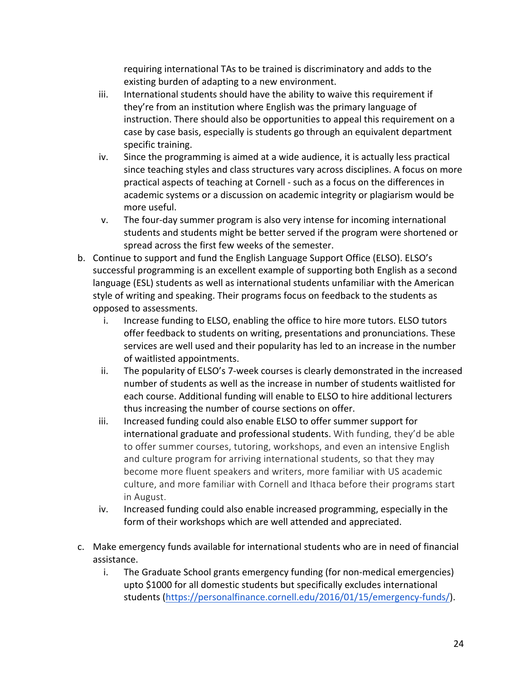requiring international TAs to be trained is discriminatory and adds to the existing burden of adapting to a new environment.

- iii. International students should have the ability to waive this requirement if they're from an institution where English was the primary language of instruction. There should also be opportunities to appeal this requirement on a case by case basis, especially is students go through an equivalent department specific training.
- iv. Since the programming is aimed at a wide audience, it is actually less practical since teaching styles and class structures vary across disciplines. A focus on more practical aspects of teaching at Cornell - such as a focus on the differences in academic systems or a discussion on academic integrity or plagiarism would be more useful.
- v. The four-day summer program is also very intense for incoming international students and students might be better served if the program were shortened or spread across the first few weeks of the semester.
- b. Continue to support and fund the English Language Support Office (ELSO). ELSO's successful programming is an excellent example of supporting both English as a second language (ESL) students as well as international students unfamiliar with the American style of writing and speaking. Their programs focus on feedback to the students as opposed to assessments.
	- i. Increase funding to ELSO, enabling the office to hire more tutors. ELSO tutors offer feedback to students on writing, presentations and pronunciations. These services are well used and their popularity has led to an increase in the number of waitlisted appointments.
	- ii. The popularity of ELSO's 7-week courses is clearly demonstrated in the increased number of students as well as the increase in number of students waitlisted for each course. Additional funding will enable to ELSO to hire additional lecturers thus increasing the number of course sections on offer.
	- iii. Increased funding could also enable ELSO to offer summer support for international graduate and professional students. With funding, they'd be able become more fluent speakers and writers, more familiar with US academic to offer summer courses, tutoring, workshops, and even an intensive English and culture program for arriving international students, so that they may culture, and more familiar with Cornell and Ithaca before their programs start in August.
	- iv. Increased funding could also enable increased programming, especially in the form of their workshops which are well attended and appreciated.
- c. Make emergency funds available for international students who are in need of financial assistance.
	- i. The Graduate School grants emergency funding (for non-medical emergencies) upto \$1000 for all domestic students but specifically excludes international students (<https://personalfinance.cornell.edu/2016/01/15/emergency-funds>/).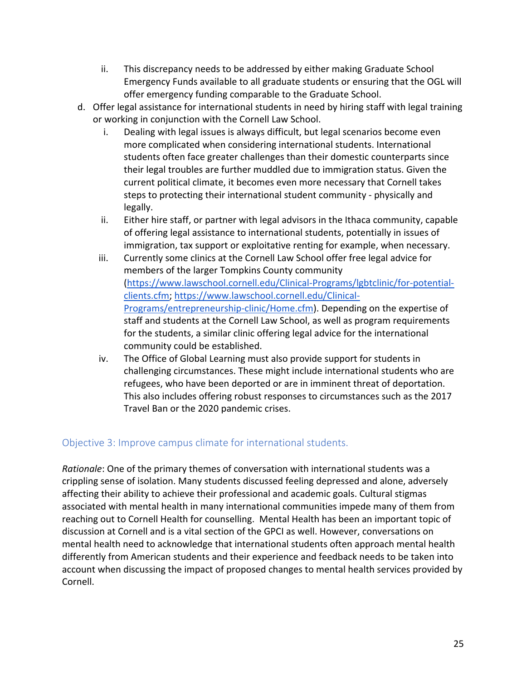- ii. This discrepancy needs to be addressed by either making Graduate School Emergency Funds available to all graduate students or ensuring that the OGL will offer emergency funding comparable to the Graduate School.
- d. Offer legal assistance for international students in need by hiring staff with legal training or working in conjunction with the Cornell Law School.
	- i. Dealing with legal issues is always difficult, but legal scenarios become even more complicated when considering international students. International students often face greater challenges than their domestic counterparts since their legal troubles are further muddled due to immigration status. Given the current political climate, it becomes even more necessary that Cornell takes steps to protecting their international student community - physically and legally.
	- legally. ii. Either hire staff, or partner with legal advisors in the Ithaca community, capable of offering legal assistance to international students, potentially in issues of immigration, tax support or exploitative renting for example, when necessary.
	- iii. Currently some clinics at the Cornell Law School offer free legal advice for members of the larger Tompkins County community Programs/entrepreneurship-clinic/Home.cfm). Depending on the expertise of staff and students at the Cornell Law School, as well as program requirements for the students, a similar clinic offering legal advice for the international community could be established. (<https://www.lawschool.cornell.edu/Clinical-Programs/lgbtclinic/for-potential>clients.cfm;<https://www.lawschool.cornell.edu/Clinical>-
	- iv. The Office of Global Learning must also provide support for students in challenging circumstances. These might include international students who are refugees, who have been deported or are in imminent threat of deportation. This also includes offering robust responses to circumstances such as the 2017 Travel Ban or the 2020 pandemic crises.

## Objective 3: Improve campus climate for international students.

 *Rationale*: One of the primary themes of conversation with international students was a crippling sense of isolation. Many students discussed feeling depressed and alone, adversely affecting their ability to achieve their professional and academic goals. Cultural stigmas associated with mental health in many international communities impede many of them from reaching out to Cornell Health for counselling. Mental Health has been an important topic of discussion at Cornell and is a vital section of the GPCI as well. However, conversations on mental health need to acknowledge that international students often approach mental health differently from American students and their experience and feedback needs to be taken into account when discussing the impact of proposed changes to mental health services provided by Cornell.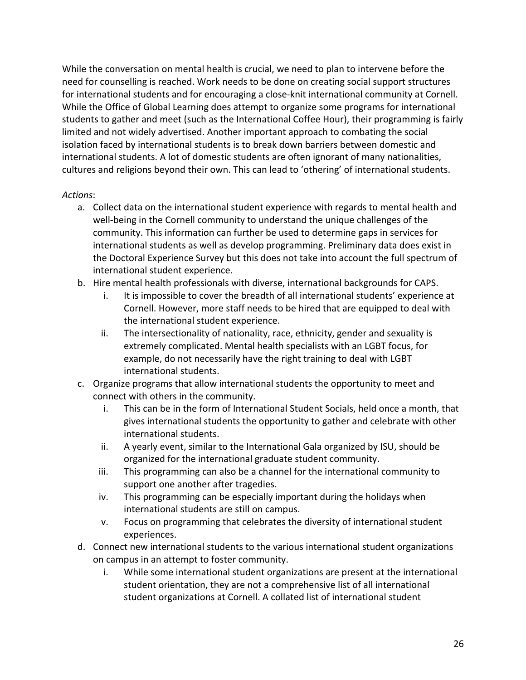While the conversation on mental health is crucial, we need to plan to intervene before the need for counselling is reached. Work needs to be done on creating social support structures for international students and for encouraging a close-knit international community at Cornell. While the Office of Global Learning does attempt to organize some programs for international students to gather and meet (such as the International Coffee Hour), their programming is fairly limited and not widely advertised. Another important approach to combating the social isolation faced by international students is to break down barriers between domestic and international students. A lot of domestic students are often ignorant of many nationalities, cultures and religions beyond their own. This can lead to 'othering' of international students.

- a. Collect data on the international student experience with regards to mental health and well-being in the Cornell community to understand the unique challenges of the community. This information can further be used to determine gaps in services for international students as well as develop programming. Preliminary data does exist in the Doctoral Experience Survey but this does not take into account the full spectrum of international student experience.
- international student experience. b. Hire mental health professionals with diverse, international backgrounds for CAPS.
	- i. It is impossible to cover the breadth of all international students' experience at Cornell. However, more staff needs to be hired that are equipped to deal with the international student experience.
	- ii. The intersectionality of nationality, race, ethnicity, gender and sexuality is extremely complicated. Mental health specialists with an LGBT focus, for example, do not necessarily have the right training to deal with LGBT international students.
- c. Organize programs that allow international students the opportunity to meet and connect with others in the community.
	- i. This can be in the form of International Student Socials, held once a month, that gives international students the opportunity to gather and celebrate with other international students.
	- ii. A yearly event, similar to the International Gala organized by ISU, should be organized for the international graduate student community.
	- iii. This programming can also be a channel for the international community to support one another after tragedies.
	- iv. This programming can be especially important during the holidays when international students are still on campus.
	- v. Focus on programming that celebrates the diversity of international student experiences.
- d. Connect new international students to the various international student organizations on campus in an attempt to foster community.
	- i. While some international student organizations are present at the international student orientation, they are not a comprehensive list of all international student organizations at Cornell. A collated list of international student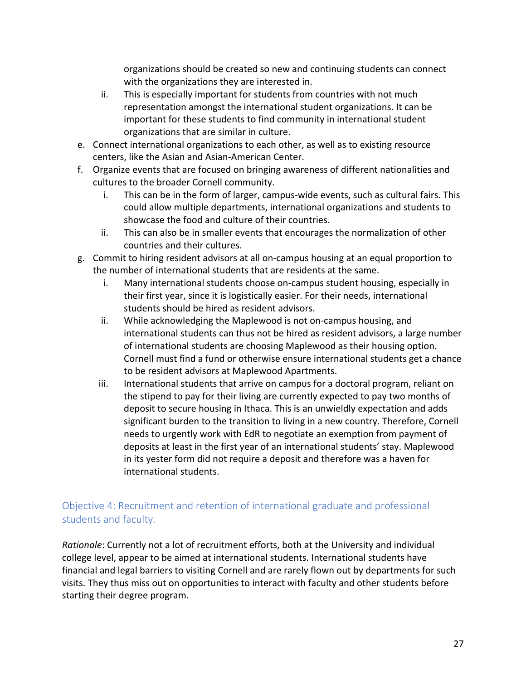organizations should be created so new and continuing students can connect with the organizations they are interested in.

- ii. This is especially important for students from countries with not much representation amongst the international student organizations. It can be important for these students to find community in international student organizations that are similar in culture.
- e. Connect international organizations to each other, as well as to existing resource centers, like the Asian and Asian-American Center.
- f. Organize events that are focused on bringing awareness of different nationalities and cultures to the broader Cornell community.
	- i. This can be in the form of larger, campus-wide events, such as cultural fairs. This could allow multiple departments, international organizations and students to showcase the food and culture of their countries.
	- ii. This can also be in smaller events that encourages the normalization of other countries and their cultures.
- g. Commit to hiring resident advisors at all on-campus housing at an equal proportion to the number of international students that are residents at the same.
	- i. Many international students choose on-campus student housing, especially in their first year, since it is logistically easier. For their needs, international students should be hired as resident advisors.
	- ii. While acknowledging the Maplewood is not on-campus housing, and international students can thus not be hired as resident advisors, a large number of international students are choosing Maplewood as their housing option. Cornell must find a fund or otherwise ensure international students get a chance to be resident advisors at Maplewood Apartments.
	- iii. International students that arrive on campus for a doctoral program, reliant on the stipend to pay for their living are currently expected to pay two months of deposit to secure housing in Ithaca. This is an unwieldly expectation and adds significant burden to the transition to living in a new country. Therefore, Cornell needs to urgently work with EdR to negotiate an exemption from payment of deposits at least in the first year of an international students' stay. Maplewood in its yester form did not require a deposit and therefore was a haven for international students.

## Objective 4: Recruitment and retention of international graduate and professional students and faculty.

 *Rationale*: Currently not a lot of recruitment efforts, both at the University and individual college level, appear to be aimed at international students. International students have financial and legal barriers to visiting Cornell and are rarely flown out by departments for such visits. They thus miss out on opportunities to interact with faculty and other students before starting their degree program.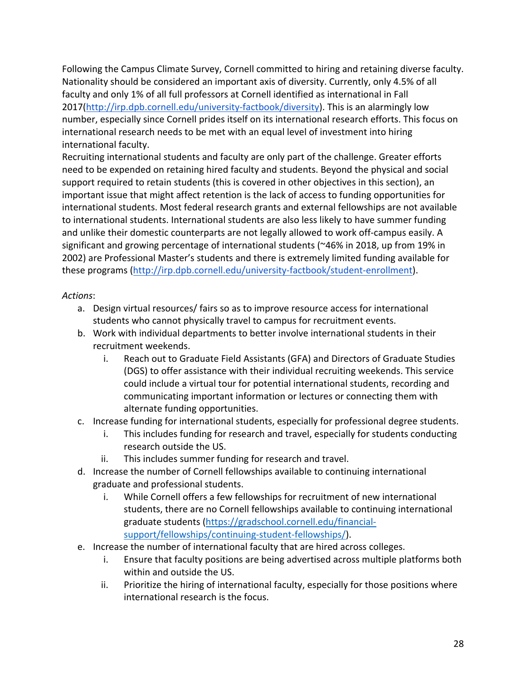Following the Campus Climate Survey, Cornell committed to hiring and retaining diverse faculty. Nationality should be considered an important axis of diversity. Currently, only 4.5% of all faculty and only 1% of all full professors at Cornell identified as international in Fall [2017\(http://irp.dpb.cornell.edu/university-factbook/diversity\)](https://2017(http://irp.dpb.cornell.edu/university-factbook/diversity). This is an alarmingly low number, especially since Cornell prides itself on its international research efforts. This focus on international research needs to be met with an equal level of investment into hiring international faculty.

 Recruiting international students and faculty are only part of the challenge. Greater efforts need to be expended on retaining hired faculty and students. Beyond the physical and social support required to retain students (this is covered in other objectives in this section), an important issue that might affect retention is the lack of access to funding opportunities for international students. Most federal research grants and external fellowships are not available to international students. International students are also less likely to have summer funding and unlike their domestic counterparts are not legally allowed to work off-campus easily. A significant and growing percentage of international students (~46% in 2018, up from 19% in 2002) are Professional Master's students and there is extremely limited funding available for these programs (<http://irp.dpb.cornell.edu/university-factbook/student-enrollment>).

- a. Design virtual resources/ fairs so as to improve resource access for international students who cannot physically travel to campus for recruitment events.
- b. Work with individual departments to better involve international students in their recruitment weekends.
	- i. Reach out to Graduate Field Assistants (GFA) and Directors of Graduate Studies (DGS) to offer assistance with their individual recruiting weekends. This service could include a virtual tour for potential international students, recording and communicating important information or lectures or connecting them with alternate funding opportunities.
- c. Increase funding for international students, especially for professional degree students.
	- i. This includes funding for research and travel, especially for students conducting research outside the US.
	- ii. This includes summer funding for research and travel.
- d. Increase the number of Cornell fellowships available to continuing international graduate and professional students.
	- i. While Cornell offers a few fellowships for recruitment of new international students, there are no Cornell fellowships available to continuing international graduate students (<https://gradschool.cornell.edu/financial>support/fellowships/continuing-student-fellowships/).
- e. Increase the number of international faculty that are hired across colleges.
	- i. Ensure that faculty positions are being advertised across multiple platforms both within and outside the US.
	- ii. Prioritize the hiring of international faculty, especially for those positions where international research is the focus.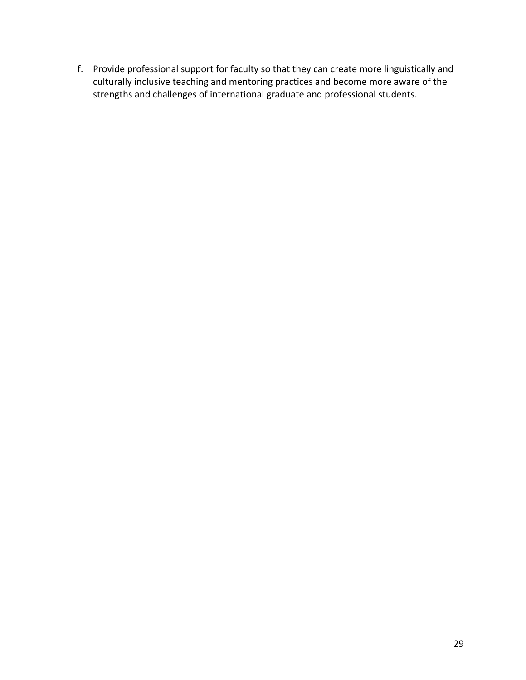f. Provide professional support for faculty so that they can create more linguistically and culturally inclusive teaching and mentoring practices and become more aware of the strengths and challenges of international graduate and professional students.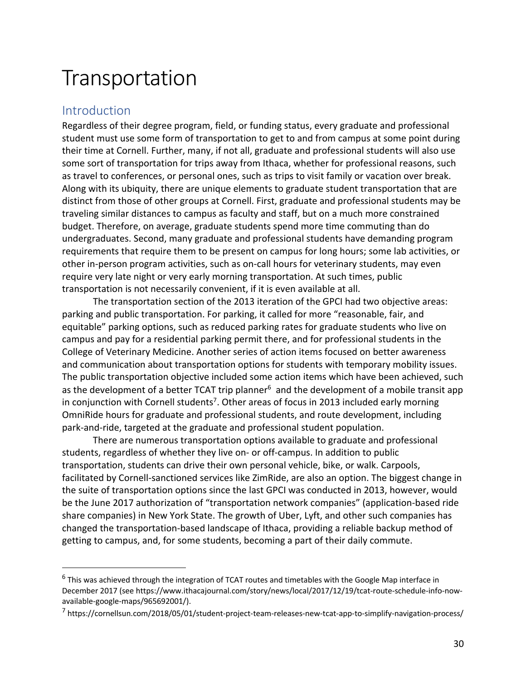## **Transportation**

## Introduction

 Regardless of their degree program, field, or funding status, every graduate and professional student must use some form of transportation to get to and from campus at some point during their time at Cornell. Further, many, if not all, graduate and professional students will also use some sort of transportation for trips away from Ithaca, whether for professional reasons, such as travel to conferences, or personal ones, such as trips to visit family or vacation over break. Along with its ubiquity, there are unique elements to graduate student transportation that are distinct from those of other groups at Cornell. First, graduate and professional students may be traveling similar distances to campus as faculty and staff, but on a much more constrained budget. Therefore, on average, graduate students spend more time commuting than do undergraduates. Second, many graduate and professional students have demanding program requirements that require them to be present on campus for long hours; some lab activities, or other in-person program activities, such as on-call hours for veterinary students, may even require very late night or very early morning transportation. At such times, public transportation is not necessarily convenient, if it is even available at all.

 parking and public transportation. For parking, it called for more "reasonable, fair, and equitable" parking options, such as reduced parking rates for graduate students who live on campus and pay for a residential parking permit there, and for professional students in the College of Veterinary Medicine. Another series of action items focused on better awareness and communication about transportation options for students with temporary mobility issues. The public transportation objective included some action items which have been achieved, such as the development of a better TCAT trip planner<sup>6</sup> and the development of a mobile transit app in conjunction with Cornell students<sup>7</sup>. Other areas of focus in 2013 included early morning OmniRide hours for graduate and professional students, and route development, including park-and-ride, targeted at the graduate and professional student population. The transportation section of the 2013 iteration of the GPCI had two objective areas:

 There are numerous transportation options available to graduate and professional students, regardless of whether they live on- or off-campus. In addition to public transportation, students can drive their own personal vehicle, bike, or walk. Carpools, facilitated by Cornell-sanctioned services like ZimRide, are also an option. The biggest change in the suite of transportation options since the last GPCI was conducted in 2013, however, would be the June 2017 authorization of "transportation network companies" (application-based ride share companies) in New York State. The growth of Uber, Lyft, and other such companies has changed the transportation-based landscape of Ithaca, providing a reliable backup method of getting to campus, and, for some students, becoming a part of their daily commute.

 $^6$  This was achieved through the integration of TCAT routes and timetables with the Google Map interface in December 2017 (see<https://www.ithacajournal.com/story/news/local/2017/12/19/tcat-route-schedule-info-now>available-google-maps/965692001/).

<sup>7</sup> [https://cornellsun.com/2018/05/01/student-project-team-releases-new-tcat-app-to-simplify-navigation-process/](https://cornellsun.com/2018/05/01/student-project-team-releases-new-tcat-app-to-simplify-navigation-process)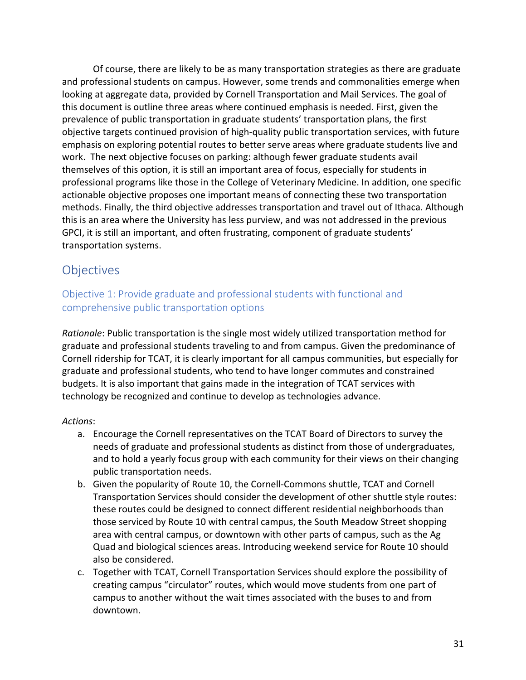and professional students on campus. However, some trends and commonalities emerge when looking at aggregate data, provided by Cornell Transportation and Mail Services. The goal of this document is outline three areas where continued emphasis is needed. First, given the prevalence of public transportation in graduate students' transportation plans, the first objective targets continued provision of high-quality public transportation services, with future emphasis on exploring potential routes to better serve areas where graduate students live and work. The next objective focuses on parking: although fewer graduate students avail themselves of this option, it is still an important area of focus, especially for students in professional programs like those in the College of Veterinary Medicine. In addition, one specific actionable objective proposes one important means of connecting these two transportation methods. Finally, the third objective addresses transportation and travel out of Ithaca. Although this is an area where the University has less purview, and was not addressed in the previous GPCI, it is still an important, and often frustrating, component of graduate students' transportation systems. Of course, there are likely to be as many transportation strategies as there are graduate

## **Objectives**

 Objective 1: Provide graduate and professional students with functional and comprehensive public transportation options

 *Rationale*: Public transportation is the single most widely utilized transportation method for graduate and professional students traveling to and from campus. Given the predominance of Cornell ridership for TCAT, it is clearly important for all campus communities, but especially for graduate and professional students, who tend to have longer commutes and constrained budgets. It is also important that gains made in the integration of TCAT services with technology be recognized and continue to develop as technologies advance.

- a. Encourage the Cornell representatives on the TCAT Board of Directors to survey the needs of graduate and professional students as distinct from those of undergraduates, and to hold a yearly focus group with each community for their views on their changing public transportation needs.
- b. Given the popularity of Route 10, the Cornell-Commons shuttle, TCAT and Cornell Transportation Services should consider the development of other shuttle style routes: these routes could be designed to connect different residential neighborhoods than those serviced by Route 10 with central campus, the South Meadow Street shopping area with central campus, or downtown with other parts of campus, such as the Ag Quad and biological sciences areas. Introducing weekend service for Route 10 should also be considered.
- c. Together with TCAT, Cornell Transportation Services should explore the possibility of creating campus "circulator" routes, which would move students from one part of campus to another without the wait times associated with the buses to and from downtown. downtown. 31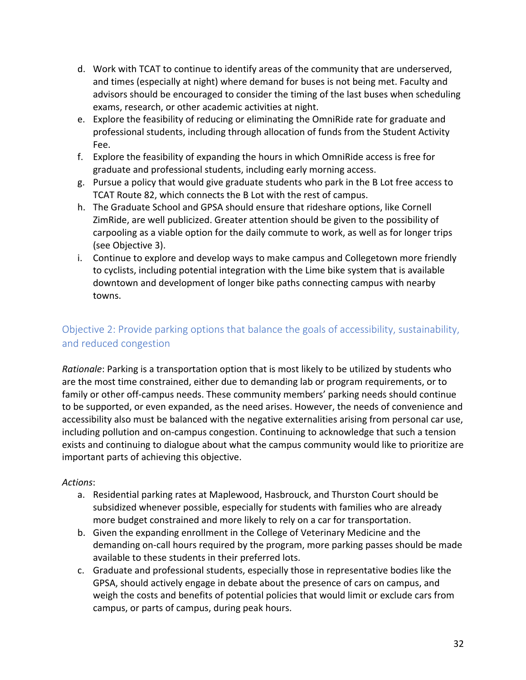- d. Work with TCAT to continue to identify areas of the community that are underserved, and times (especially at night) where demand for buses is not being met. Faculty and advisors should be encouraged to consider the timing of the last buses when scheduling exams, research, or other academic activities at night.
- e. Explore the feasibility of reducing or eliminating the OmniRide rate for graduate and professional students, including through allocation of funds from the Student Activity Fee.
- f. Explore the feasibility of expanding the hours in which OmniRide access is free for graduate and professional students, including early morning access.
- g. Pursue a policy that would give graduate students who park in the B Lot free access to TCAT Route 82, which connects the B Lot with the rest of campus.
- h. The Graduate School and GPSA should ensure that rideshare options, like Cornell ZimRide, are well publicized. Greater attention should be given to the possibility of carpooling as a viable option for the daily commute to work, as well as for longer trips (see Objective 3).
- i. Continue to explore and develop ways to make campus and Collegetown more friendly to cyclists, including potential integration with the Lime bike system that is available downtown and development of longer bike paths connecting campus with nearby towns.

## Objective 2: Provide parking options that balance the goals of accessibility, sustainability, and reduced congestion

 *Rationale*: Parking is a transportation option that is most likely to be utilized by students who are the most time constrained, either due to demanding lab or program requirements, or to family or other off-campus needs. These community members' parking needs should continue to be supported, or even expanded, as the need arises. However, the needs of convenience and accessibility also must be balanced with the negative externalities arising from personal car use, including pollution and on-campus congestion. Continuing to acknowledge that such a tension exists and continuing to dialogue about what the campus community would like to prioritize are important parts of achieving this objective.

- a. Residential parking rates at Maplewood, Hasbrouck, and Thurston Court should be subsidized whenever possible, especially for students with families who are already more budget constrained and more likely to rely on a car for transportation.
- b. Given the expanding enrollment in the College of Veterinary Medicine and the demanding on-call hours required by the program, more parking passes should be made available to these students in their preferred lots.
- c. Graduate and professional students, especially those in representative bodies like the GPSA, should actively engage in debate about the presence of cars on campus, and weigh the costs and benefits of potential policies that would limit or exclude cars from campus, or parts of campus, during peak hours.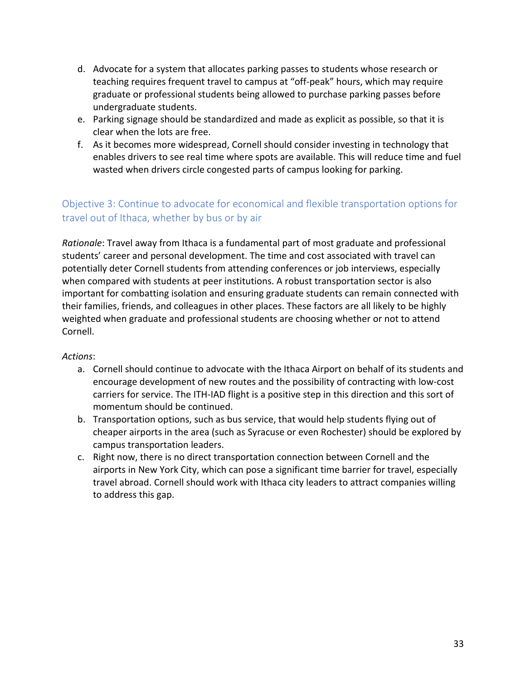- d. Advocate for a system that allocates parking passes to students whose research or teaching requires frequent travel to campus at "off-peak" hours, which may require graduate or professional students being allowed to purchase parking passes before undergraduate students.
- e. Parking signage should be standardized and made as explicit as possible, so that it is clear when the lots are free.
- f. As it becomes more widespread, Cornell should consider investing in technology that enables drivers to see real time where spots are available. This will reduce time and fuel wasted when drivers circle congested parts of campus looking for parking.

## Objective 3: Continue to advocate for economical and flexible transportation options for travel out of Ithaca, whether by bus or by air

 *Rationale*: Travel away from Ithaca is a fundamental part of most graduate and professional students' career and personal development. The time and cost associated with travel can potentially deter Cornell students from attending conferences or job interviews, especially when compared with students at peer institutions. A robust transportation sector is also important for combatting isolation and ensuring graduate students can remain connected with their families, friends, and colleagues in other places. These factors are all likely to be highly weighted when graduate and professional students are choosing whether or not to attend Cornell.

- a. Cornell should continue to advocate with the Ithaca Airport on behalf of its students and encourage development of new routes and the possibility of contracting with low-cost carriers for service. The ITH-IAD flight is a positive step in this direction and this sort of momentum should be continued.
- b. Transportation options, such as bus service, that would help students flying out of cheaper airports in the area (such as Syracuse or even Rochester) should be explored by campus transportation leaders.
- c. Right now, there is no direct transportation connection between Cornell and the airports in New York City, which can pose a significant time barrier for travel, especially travel abroad. Cornell should work with Ithaca city leaders to attract companies willing to address this gap.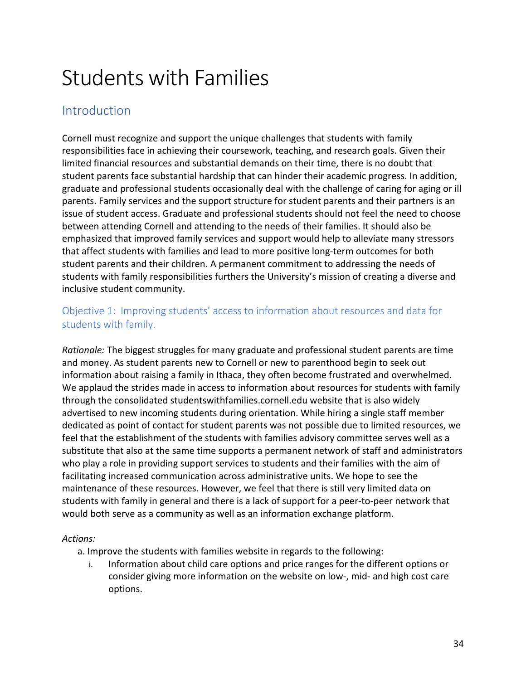# Students with Families

## **Introduction**

 Cornell must recognize and support the unique challenges that students with family responsibilities face in achieving their coursework, teaching, and research goals. Given their limited financial resources and substantial demands on their time, there is no doubt that student parents face substantial hardship that can hinder their academic progress. In addition, graduate and professional students occasionally deal with the challenge of caring for aging or ill parents. Family services and the support structure for student parents and their partners is an issue of student access. Graduate and professional students should not feel the need to choose between attending Cornell and attending to the needs of their families. It should also be emphasized that improved family services and support would help to alleviate many stressors that affect students with families and lead to more positive long-term outcomes for both student parents and their children. A permanent commitment to addressing the needs of students with family responsibilities furthers the University's mission of creating a diverse and inclusive student community.

## Objective 1: Improving students' access to information about resources and data for students with family.

 *Rationale:* The biggest struggles for many graduate and professional student parents are time and money. As student parents new to Cornell or new to parenthood begin to seek out information about raising a family in Ithaca, they often become frustrated and overwhelmed. We applaud the strides made in access to information about resources for students with family through the consolidated [studentswithfamilies.cornell.edu](https://studentswithfamilies.cornell.edu) website that is also widely advertised to new incoming students during orientation. While hiring a single staff member dedicated as point of contact for student parents was not possible due to limited resources, we feel that the establishment of the students with families advisory committee serves well as a substitute that also at the same time supports a permanent network of staff and administrators who play a role in providing support services to students and their families with the aim of facilitating increased communication across administrative units. We hope to see the maintenance of these resources. However, we feel that there is still very limited data on students with family in general and there is a lack of support for a peer-to-peer network that would both serve as a community as well as an information exchange platform.

### *Actions:*

a. Improve the students with families website in regards to the following:

 i. Information about child care options and price ranges for the different options or consider giving more information on the website on low-, mid- and high cost care options.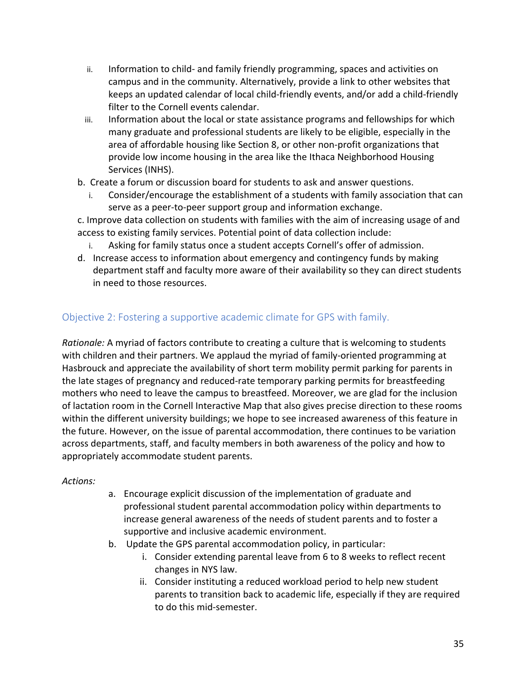- ii. Information to child- and family friendly programming, spaces and activities on campus and in the community. Alternatively, provide a link to other websites that keeps an updated calendar of local child-friendly events, and/or add a child-friendly filter to the Cornell events calendar.
- iii. Information about the local or state assistance programs and fellowships for which many graduate and professional students are likely to be eligible, especially in the area of affordable housing like Section 8, or other non-profit organizations that provide low income housing in the area like the Ithaca Neighborhood Housing Services (INHS).
- b. Create a forum or discussion board for students to ask and answer questions.
	- i. Consider/encourage the establishment of a students with family association that can serve as a peer-to-peer support group and information exchange.

 c. Improve data collection on students with families with the aim of increasing usage of and access to existing family services. Potential point of data collection include:

- i. Asking for family status once a student accepts Cornell's offer of admission.
- d. Increase access to information about emergency and contingency funds by making department staff and faculty more aware of their availability so they can direct students in need to those resources.

## Objective 2: Fostering a supportive academic climate for GPS with family.

 *Rationale:* A myriad of factors contribute to creating a culture that is welcoming to students with children and their partners. We applaud the myriad of family-oriented programming at Hasbrouck and appreciate the availability of short term mobility permit parking for parents in the late stages of pregnancy and reduced-rate temporary parking permits for breastfeeding mothers who need to leave the campus to breastfeed. Moreover, we are glad for the inclusion of lactation room in the Cornell Interactive Map that also gives precise direction to these rooms within the different university buildings; we hope to see increased awareness of this feature in the future. However, on the issue of parental accommodation, there continues to be variation across departments, staff, and faculty members in both awareness of the policy and how to appropriately accommodate student parents.

- a. Encourage explicit discussion of the implementation of graduate and professional student parental accommodation policy within departments to increase general awareness of the needs of student parents and to foster a supportive and inclusive academic environment.
- b. Update the GPS parental accommodation policy, in particular:
	- i. Consider extending parental leave from 6 to 8 weeks to reflect recent changes in NYS law.
	- ii. Consider instituting a reduced workload period to help new student parents to transition back to academic life, especially if they are required to do this mid-semester.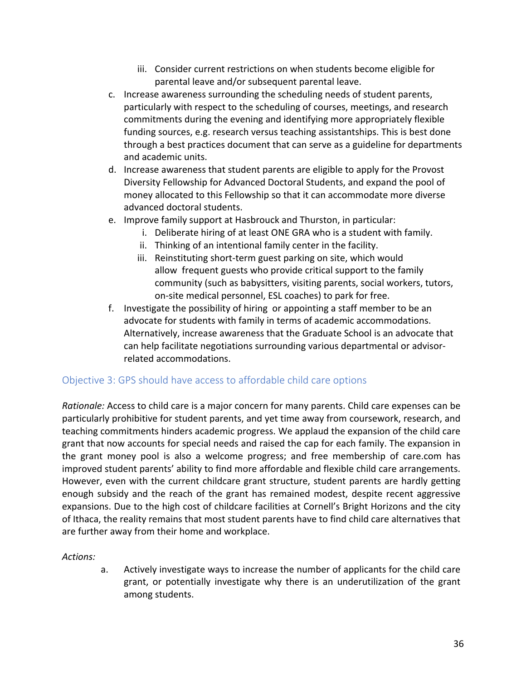- iii. Consider current restrictions on when students become eligible for parental leave and/or subsequent parental leave.
- c. Increase awareness surrounding the scheduling needs of student parents, particularly with respect to the scheduling of courses, meetings, and research commitments during the evening and identifying more appropriately flexible funding sources, e.g. research versus teaching assistantships. This is best done through a best practices document that can serve as a guideline for departments and academic units.
- d. Increase awareness that student parents are eligible to apply for the Provost Diversity Fellowship for Advanced Doctoral Students, and expand the pool of money allocated to this Fellowship so that it can accommodate more diverse advanced doctoral students.
- e. Improve family support at Hasbrouck and Thurston, in particular:
	- i. Deliberate hiring of at least ONE GRA who is a student with family.
	- ii. Thinking of an intentional family center in the facility.
	- iii. Reinstituting short-term guest parking on site, which would allow frequent guests who provide critical support to the family community (such as babysitters, visiting parents, social workers, tutors, on-site medical personnel, ESL coaches) to park for free.
- f. Investigate the possibility of hiring or appointing a staff member to be an advocate for students with family in terms of academic accommodations. Alternatively, increase awareness that the Graduate School is an advocate that can help facilitate negotiations surrounding various departmental or advisorrelated accommodations.

### Objective 3: GPS should have access to affordable child care options

 *Rationale:* Access to child care is a major concern for many parents. Child care expenses can be particularly prohibitive for student parents, and yet time away from coursework, research, and teaching commitments hinders academic progress. We applaud the expansion of the child care grant that now accounts for special needs and raised the cap for each family. The expansion in the grant money pool is also a welcome progress; and free membership of [care.com](https://care.com) has improved student parents' ability to find more affordable and flexible child care arrangements. However, even with the current childcare grant structure, student parents are hardly getting enough subsidy and the reach of the grant has remained modest, despite recent aggressive expansions. Due to the high cost of childcare facilities at Cornell's Bright Horizons and the city of Ithaca, the reality remains that most student parents have to find child care alternatives that are further away from their home and workplace.

*Actions:* 

 a. Actively investigate ways to increase the number of applicants for the child care grant, or potentially investigate why there is an underutilization of the grant among students.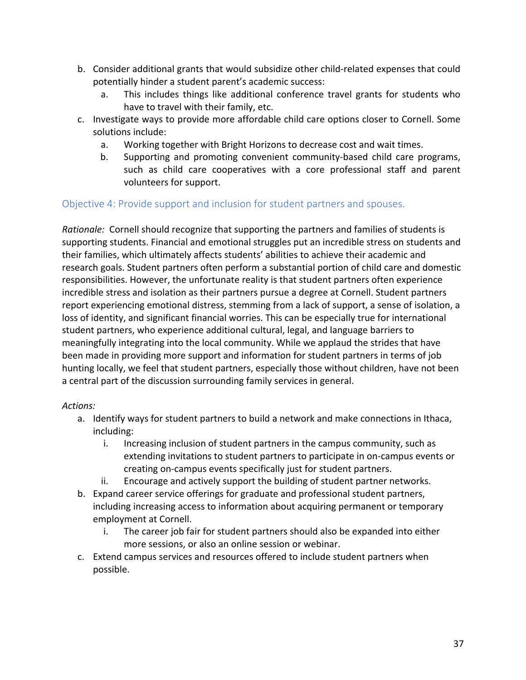- b. Consider additional grants that would subsidize other child-related expenses that could potentially hinder a student parent's academic success:
	- a. This includes things like additional conference travel grants for students who have to travel with their family, etc.
- c. Investigate ways to provide more affordable child care options closer to Cornell. Some solutions include:
	- a. Working together with Bright Horizons to decrease cost and wait times.
	- b. Supporting and promoting convenient community-based child care programs, such as child care cooperatives with a core professional staff and parent volunteers for support.

## Objective 4: Provide support and inclusion for student partners and spouses.

 *Rationale:* Cornell should recognize that supporting the partners and families of students is supporting students. Financial and emotional struggles put an incredible stress on students and their families, which ultimately affects students' abilities to achieve their academic and research goals. Student partners often perform a substantial portion of child care and domestic responsibilities. However, the unfortunate reality is that student partners often experience incredible stress and isolation as their partners pursue a degree at Cornell. Student partners report experiencing emotional distress, stemming from a lack of support, a sense of isolation, a loss of identity, and significant financial worries. This can be especially true for international student partners, who experience additional cultural, legal, and language barriers to meaningfully integrating into the local community. While we applaud the strides that have been made in providing more support and information for student partners in terms of job hunting locally, we feel that student partners, especially those without children, have not been a central part of the discussion surrounding family services in general.

- a. Identify ways for student partners to build a network and make connections in Ithaca, including:
	- i. Increasing inclusion of student partners in the campus community, such as extending invitations to student partners to participate in on-campus events or creating on-campus events specifically just for student partners.
	- ii. Encourage and actively support the building of student partner networks.
- b. Expand career service offerings for graduate and professional student partners, including increasing access to information about acquiring permanent or temporary employment at Cornell.
	- i. The career job fair for student partners should also be expanded into either more sessions, or also an online session or webinar.
- c. Extend campus services and resources offered to include student partners when possible.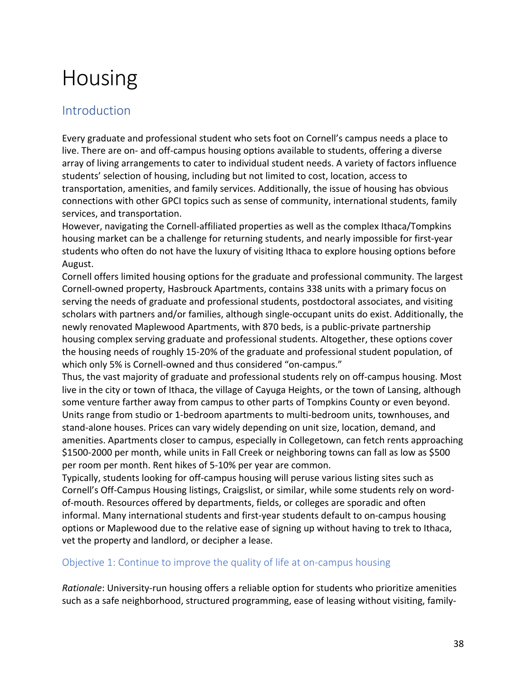# Housing

## Introduction

 Every graduate and professional student who sets foot on Cornell's campus needs a place to live. There are on- and off-campus housing options available to students, offering a diverse array of living arrangements to cater to individual student needs. A variety of factors influence students' selection of housing, including but not limited to cost, location, access to transportation, amenities, and family services. Additionally, the issue of housing has obvious connections with other GPCI topics such as sense of community, international students, family services, and transportation.

 However, navigating the Cornell-affiliated properties as well as the complex Ithaca/Tompkins housing market can be a challenge for returning students, and nearly impossible for first-year students who often do not have the luxury of visiting Ithaca to explore housing options before August.

August.<br>Cornell offers limited housing options for the graduate and professional community. The largest Cornell-owned property, Hasbrouck Apartments, contains 338 units with a primary focus on serving the needs of graduate and professional students, postdoctoral associates, and visiting scholars with partners and/or families, although single-occupant units do exist. Additionally, the newly renovated Maplewood Apartments, with 870 beds, is a public-private partnership housing complex serving graduate and professional students. Altogether, these options cover the housing needs of roughly 15-20% of the graduate and professional student population, of which only 5% is Cornell-owned and thus considered "on-campus."

 Thus, the vast majority of graduate and professional students rely on off-campus housing. Most live in the city or town of Ithaca, the village of Cayuga Heights, or the town of Lansing, although some venture farther away from campus to other parts of Tompkins County or even beyond. Units range from studio or 1-bedroom apartments to multi-bedroom units, townhouses, and stand-alone houses. Prices can vary widely depending on unit size, location, demand, and amenities. Apartments closer to campus, especially in Collegetown, can fetch rents approaching \$1500-2000 per month, while units in Fall Creek or neighboring towns can fall as low as \$500 per room per month. Rent hikes of 5-10% per year are common.

 Typically, students looking for off-campus housing will peruse various listing sites such as Cornell's Off-Campus Housing listings, Craigslist, or similar, while some students rely on word- of-mouth. Resources offered by departments, fields, or colleges are sporadic and often informal. Many international students and first-year students default to on-campus housing options or Maplewood due to the relative ease of signing up without having to trek to Ithaca, vet the property and landlord, or decipher a lease.

### Objective 1: Continue to improve the quality of life at on-campus housing

 *Rationale*: University-run housing offers a reliable option for students who prioritize amenities such as a safe neighborhood, structured programming, ease of leasing without visiting, family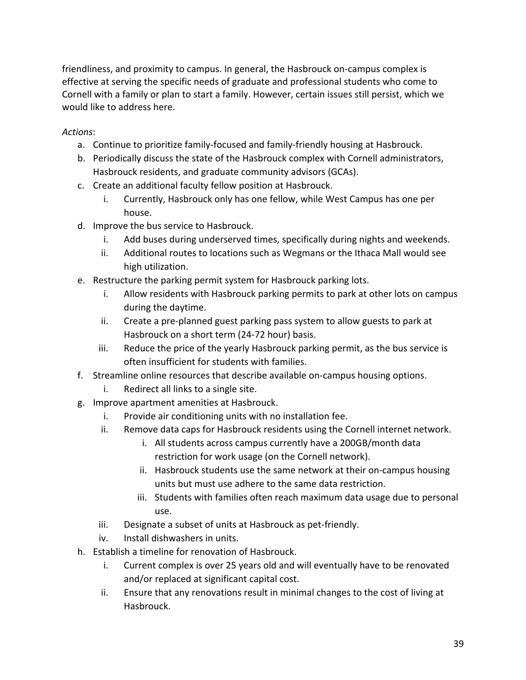friendliness, and proximity to campus. In general, the Hasbrouck on-campus complex is effective at serving the specific needs of graduate and professional students who come to Cornell with a family or plan to start a family. However, certain issues still persist, which we would like to address here.

- a. Continue to prioritize family-focused and family-friendly housing at Hasbrouck.
- b. Periodically discuss the state of the Hasbrouck complex with Cornell administrators, Hasbrouck residents, and graduate community advisors (GCAs).
- c. Create an additional faculty fellow position at Hasbrouck.
	- i. Currently, Hasbrouck only has one fellow, while West Campus has one per house.
- d. Improve the bus service to Hasbrouck.
	- i. Add buses during underserved times, specifically during nights and weekends.
	- ii. Additional routes to locations such as Wegmans or the Ithaca Mall would see high utilization.
- e. Restructure the parking permit system for Hasbrouck parking lots.
	- i. Allow residents with Hasbrouck parking permits to park at other lots on campus during the daytime.
	- ii. Create a pre-planned guest parking pass system to allow guests to park at Hasbrouck on a short term (24-72 hour) basis.
	- iii. Reduce the price of the yearly Hasbrouck parking permit, as the bus service is often insufficient for students with families.
- f. Streamline online resources that describe available on-campus housing options.
	- i. Redirect all links to a single site.
- g. Improve apartment amenities at Hasbrouck.
	- i. Provide air conditioning units with no installation fee.
	- ii. Remove data caps for Hasbrouck residents using the Cornell internet network.
		- i. All students across campus currently have a 200GB/month data restriction for work usage (on the Cornell network).
		- ii. Hasbrouck students use the same network at their on-campus housing units but must use adhere to the same data restriction.
		- iii. Students with families often reach maximum data usage due to personal use.
	- iii. Designate a subset of units at Hasbrouck as pet-friendly.
	- iv. Install dishwashers in units.
- h. Establish a timeline for renovation of Hasbrouck.
	- i. Current complex is over 25 years old and will eventually have to be renovated and/or replaced at significant capital cost.
	- ii. Ensure that any renovations result in minimal changes to the cost of living at Hasbrouck.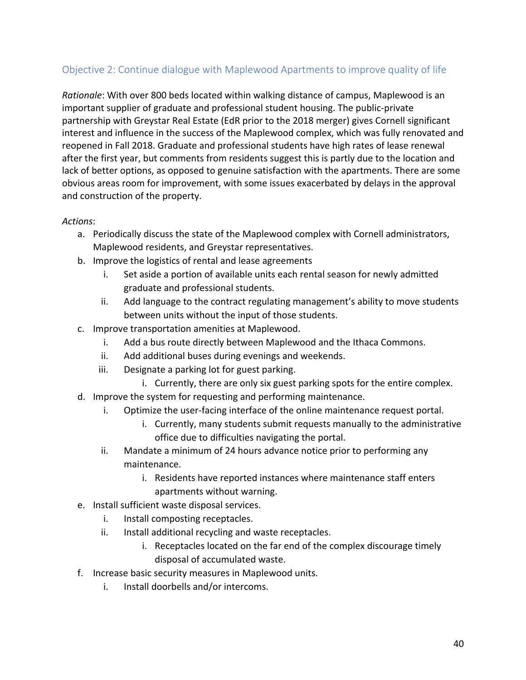## Objective 2: Continue dialogue with Maplewood Apartments to improve quality of life

 *Rationale*: With over 800 beds located within walking distance of campus, Maplewood is an important supplier of graduate and professional student housing. The public-private partnership with Greystar Real Estate (EdR prior to the 2018 merger) gives Cornell significant interest and influence in the success of the Maplewood complex, which was fully renovated and reopened in Fall 2018. Graduate and professional students have high rates of lease renewal after the first year, but comments from residents suggest this is partly due to the location and lack of better options, as opposed to genuine satisfaction with the apartments. There are some obvious areas room for improvement, with some issues exacerbated by delays in the approval and construction of the property.

- a. Periodically discuss the state of the Maplewood complex with Cornell administrators, Maplewood residents, and Greystar representatives.
- b. Improve the logistics of rental and lease agreements
	- i. Set aside a portion of available units each rental season for newly admitted graduate and professional students.
	- ii. Add language to the contract regulating management's ability to move students between units without the input of those students.
- c. Improve transportation amenities at Maplewood.
	- i. Add a bus route directly between Maplewood and the Ithaca Commons.
	- ii. Add additional buses during evenings and weekends.
	- iii. Designate a parking lot for guest parking.
		- i. Currently, there are only six guest parking spots for the entire complex.
- d. Improve the system for requesting and performing maintenance.
	- i. Optimize the user-facing interface of the online maintenance request portal.
		- i. Currently, many students submit requests manually to the administrative office due to difficulties navigating the portal.
	- ii. Mandate a minimum of 24 hours advance notice prior to performing any maintenance.
		- i. Residents have reported instances where maintenance staff enters apartments without warning.
- e. Install sufficient waste disposal services.
	- i. Install composting receptacles.
	- ii. Install additional recycling and waste receptacles.
		- i. Receptacles located on the far end of the complex discourage timely disposal of accumulated waste.
- f. Increase basic security measures in Maplewood units.
	- i. Install doorbells and/or intercoms.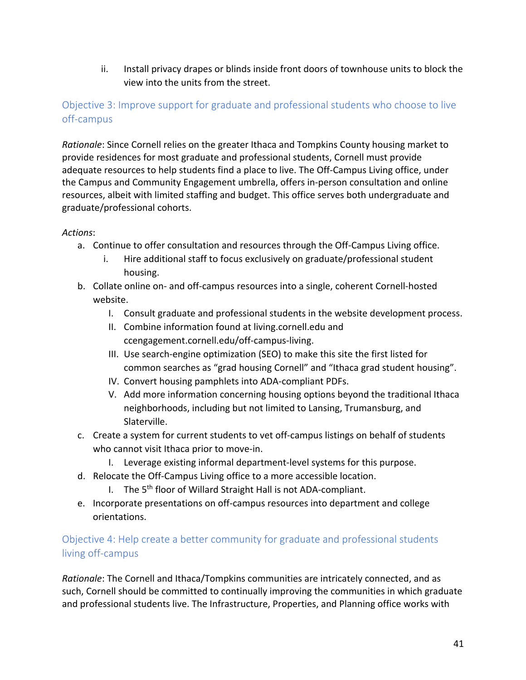ii. Install privacy drapes or blinds inside front doors of townhouse units to block the view into the units from the street.

## Objective 3: Improve support for graduate and professional students who choose to live off-campus

 *Rationale*: Since Cornell relies on the greater Ithaca and Tompkins County housing market to provide residences for most graduate and professional students, Cornell must provide adequate resources to help students find a place to live. The Off-Campus Living office, under the Campus and Community Engagement umbrella, offers in-person consultation and online resources, albeit with limited staffing and budget. This office serves both undergraduate and graduate/professional cohorts.

#### *Actions*:

- a. Continue to offer consultation and resources through the Off-Campus Living office.
	- i. Hire additional staff to focus exclusively on graduate/professional student housing.
- b. Collate online on- and off-campus resources into a single, coherent Cornell-hosted website.
	- I. Consult graduate and professional students in the website development process.
	- II. Combine information found at [living.cornell.edu](https://living.cornell.edu) and [ccengagement.cornell.edu/off-campus-living.](https://ccengagement.cornell.edu/off-campus-living)
	- III. Use search-engine optimization (SEO) to make this site the first listed for common searches as "grad housing Cornell" and "Ithaca grad student housing".
	- IV. Convert housing pamphlets into ADA-compliant PDFs.
	- V. Add more information concerning housing options beyond the traditional Ithaca neighborhoods, including but not limited to Lansing, Trumansburg, and Slaterville.
- c. Create a system for current students to vet off-campus listings on behalf of students who cannot visit Ithaca prior to move-in.
	- I. Leverage existing informal department-level systems for this purpose.
- d. Relocate the Off-Campus Living office to a more accessible location.
	- I. The 5<sup>th</sup> floor of Willard Straight Hall is not ADA-compliant.
- e. Incorporate presentations on off-campus resources into department and college orientations.

## Objective 4: Help create a better community for graduate and professional students living off-campus

 *Rationale*: The Cornell and Ithaca/Tompkins communities are intricately connected, and as such, Cornell should be committed to continually improving the communities in which graduate and professional students live. The Infrastructure, Properties, and Planning office works with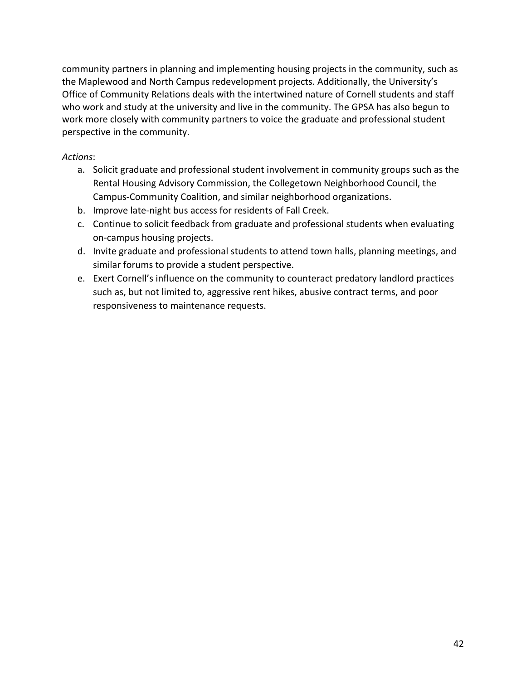community partners in planning and implementing housing projects in the community, such as the Maplewood and North Campus redevelopment projects. Additionally, the University's Office of Community Relations deals with the intertwined nature of Cornell students and staff who work and study at the university and live in the community. The GPSA has also begun to work more closely with community partners to voice the graduate and professional student perspective in the community.

- a. Solicit graduate and professional student involvement in community groups such as the Rental Housing Advisory Commission, the Collegetown Neighborhood Council, the Campus-Community Coalition, and similar neighborhood organizations.
- b. Improve late-night bus access for residents of Fall Creek.
- c. Continue to solicit feedback from graduate and professional students when evaluating on-campus housing projects.
- d. Invite graduate and professional students to attend town halls, planning meetings, and similar forums to provide a student perspective.
- e. Exert Cornell's influence on the community to counteract predatory landlord practices such as, but not limited to, aggressive rent hikes, abusive contract terms, and poor responsiveness to maintenance requests.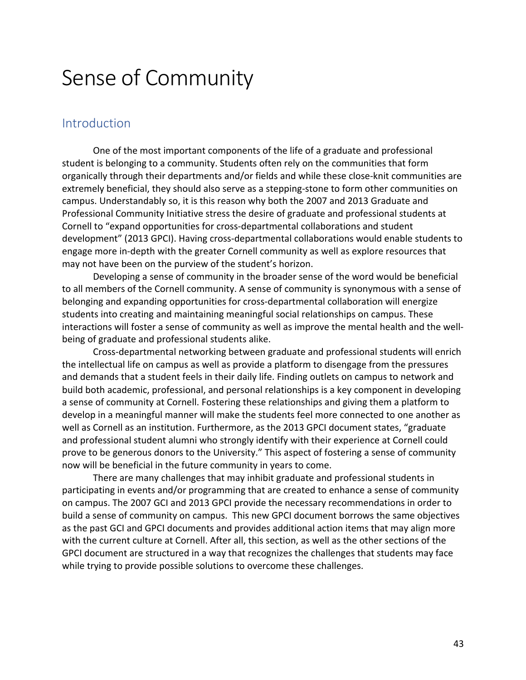## Sense of Community

## Introduction

 One of the most important components of the life of a graduate and professional student is belonging to a community. Students often rely on the communities that form organically through their departments and/or fields and while these close-knit communities are extremely beneficial, they should also serve as a stepping-stone to form other communities on campus. Understandably so, it is this reason why both the 2007 and 2013 Graduate and Professional Community Initiative stress the desire of graduate and professional students at Cornell to "expand opportunities for cross-departmental collaborations and student development" (2013 GPCI). Having cross-departmental collaborations would enable students to engage more in-depth with the greater Cornell community as well as explore resources that may not have been on the purview of the student's horizon.

 Developing a sense of community in the broader sense of the word would be beneficial to all members of the Cornell community. A sense of community is synonymous with a sense of belonging and expanding opportunities for cross-departmental collaboration will energize students into creating and maintaining meaningful social relationships on campus. These interactions will foster a sense of community as well as improve the mental health and the well-being of graduate and professional students alike.

 Cross-departmental networking between graduate and professional students will enrich the intellectual life on campus as well as provide a platform to disengage from the pressures and demands that a student feels in their daily life. Finding outlets on campus to network and build both academic, professional, and personal relationships is a key component in developing a sense of community at Cornell. Fostering these relationships and giving them a platform to develop in a meaningful manner will make the students feel more connected to one another as well as Cornell as an institution. Furthermore, as the 2013 GPCI document states, "graduate and professional student alumni who strongly identify with their experience at Cornell could prove to be generous donors to the University." This aspect of fostering a sense of community now will be beneficial in the future community in years to come.

 There are many challenges that may inhibit graduate and professional students in participating in events and/or programming that are created to enhance a sense of community on campus. The 2007 GCI and 2013 GPCI provide the necessary recommendations in order to build a sense of community on campus. This new GPCI document borrows the same objectives as the past GCI and GPCI documents and provides additional action items that may align more with the current culture at Cornell. After all, this section, as well as the other sections of the GPCI document are structured in a way that recognizes the challenges that students may face while trying to provide possible solutions to overcome these challenges.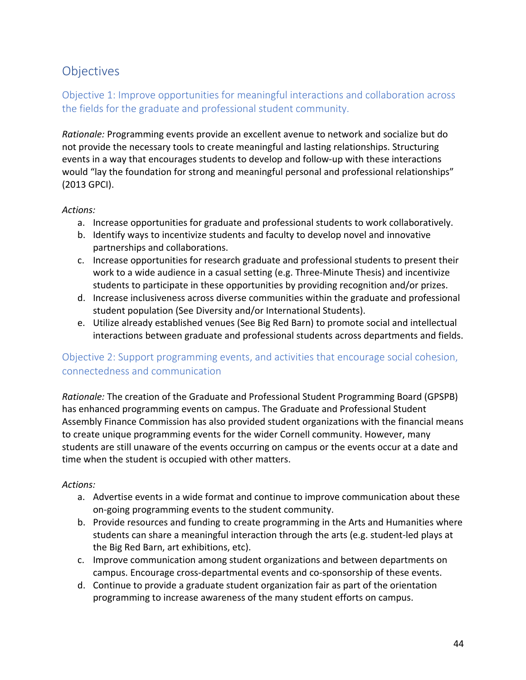## **Objectives**

## Objective 1: Improve opportunities for meaningful interactions and collaboration across the fields for the graduate and professional student community.

 *Rationale:* Programming events provide an excellent avenue to network and socialize but do not provide the necessary tools to create meaningful and lasting relationships. Structuring events in a way that encourages students to develop and follow-up with these interactions would "lay the foundation for strong and meaningful personal and professional relationships" (2013 GPCI).

#### *Actions:*

- a. Increase opportunities for graduate and professional students to work collaboratively.
- b. Identify ways to incentivize students and faculty to develop novel and innovative partnerships and collaborations.
- c. Increase opportunities for research graduate and professional students to present their work to a wide audience in a casual setting (e.g. Three-Minute Thesis) and incentivize students to participate in these opportunities by providing recognition and/or prizes.
- d. Increase inclusiveness across diverse communities within the graduate and professional student population (See Diversity and/or International Students).
- e. Utilize already established venues (See Big Red Barn) to promote social and intellectual interactions between graduate and professional students across departments and fields.

## Objective 2: Support programming events, and activities that encourage social cohesion, connectedness and communication

 *Rationale:* The creation of the Graduate and Professional Student Programming Board (GPSPB) has enhanced programming events on campus. The Graduate and Professional Student Assembly Finance Commission has also provided student organizations with the financial means to create unique programming events for the wider Cornell community. However, many students are still unaware of the events occurring on campus or the events occur at a date and time when the student is occupied with other matters.

- a. Advertise events in a wide format and continue to improve communication about these on-going programming events to the student community.
- b. Provide resources and funding to create programming in the Arts and Humanities where students can share a meaningful interaction through the arts (e.g. student-led plays at the Big Red Barn, art exhibitions, etc).
- c. Improve communication among student organizations and between departments on campus. Encourage cross-departmental events and co-sponsorship of these events.
- d. Continue to provide a graduate student organization fair as part of the orientation programming to increase awareness of the many student efforts on campus.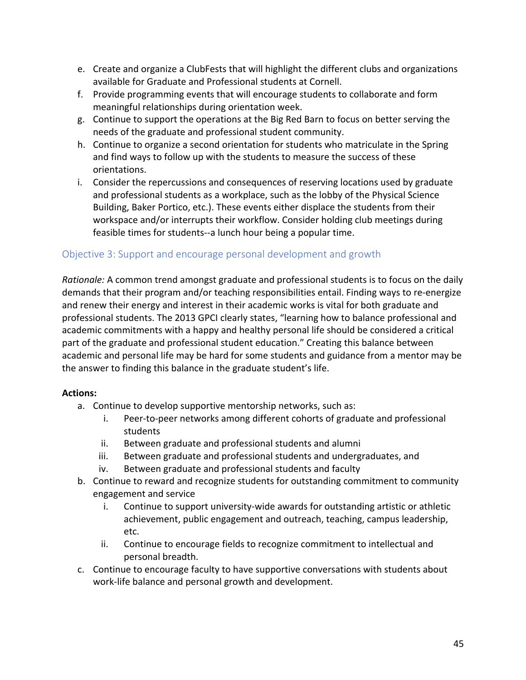- e. Create and organize a ClubFests that will highlight the different clubs and organizations available for Graduate and Professional students at Cornell.
- f. Provide programming events that will encourage students to collaborate and form meaningful relationships during orientation week.
- g. Continue to support the operations at the Big Red Barn to focus on better serving the needs of the graduate and professional student community.
- h. Continue to organize a second orientation for students who matriculate in the Spring and find ways to follow up with the students to measure the success of these orientations.
- i. Consider the repercussions and consequences of reserving locations used by graduate and professional students as a workplace, such as the lobby of the Physical Science Building, Baker Portico, etc.). These events either displace the students from their workspace and/or interrupts their workflow. Consider holding club meetings during feasible times for students--a lunch hour being a popular time.

### Objective 3: Support and encourage personal development and growth

 *Rationale:* A common trend amongst graduate and professional students is to focus on the daily demands that their program and/or teaching responsibilities entail. Finding ways to re-energize and renew their energy and interest in their academic works is vital for both graduate and professional students. The 2013 GPCI clearly states, "learning how to balance professional and academic commitments with a happy and healthy personal life should be considered a critical part of the graduate and professional student education." Creating this balance between academic and personal life may be hard for some students and guidance from a mentor may be the answer to finding this balance in the graduate student's life.

- a. Continue to develop supportive mentorship networks, such as:
	- i. Peer-to-peer networks among different cohorts of graduate and professional students
	- ii. Between graduate and professional students and alumni
	- iii. Between graduate and professional students and undergraduates, and
	- iv. Between graduate and professional students and faculty
- b. Continue to reward and recognize students for outstanding commitment to community engagement and service
	- i. Continue to support university-wide awards for outstanding artistic or athletic achievement, public engagement and outreach, teaching, campus leadership, etc.
	- ii. Continue to encourage fields to recognize commitment to intellectual and personal breadth.
- c. Continue to encourage faculty to have supportive conversations with students about work-life balance and personal growth and development.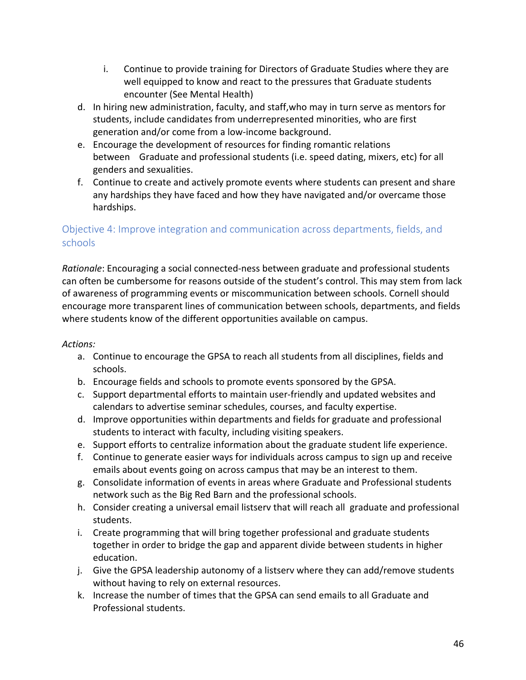- i. Continue to provide training for Directors of Graduate Studies where they are well equipped to know and react to the pressures that Graduate students encounter (See Mental Health)
- d. In hiring new administration, faculty, and staff,who may in turn serve as mentors for students, include candidates from underrepresented minorities, who are first generation and/or come from a low-income background.
- e. Encourage the development of resources for finding romantic relations between Graduate and professional students (i.e. speed dating, mixers, etc) for all genders and sexualities.
- f. Continue to create and actively promote events where students can present and share any hardships they have faced and how they have navigated and/or overcame those hardships.

## Objective 4: Improve integration and communication across departments, fields, and schools

 *Rationale*: Encouraging a social connected-ness between graduate and professional students can often be cumbersome for reasons outside of the student's control. This may stem from lack of awareness of programming events or miscommunication between schools. Cornell should encourage more transparent lines of communication between schools, departments, and fields where students know of the different opportunities available on campus.

- a. Continue to encourage the GPSA to reach all students from all disciplines, fields and schools.
- b. Encourage fields and schools to promote events sponsored by the GPSA.
- c. Support departmental efforts to maintain user-friendly and updated websites and calendars to advertise seminar schedules, courses, and faculty expertise.
- d. Improve opportunities within departments and fields for graduate and professional students to interact with faculty, including visiting speakers.
- e. Support efforts to centralize information about the graduate student life experience.
- f. Continue to generate easier ways for individuals across campus to sign up and receive emails about events going on across campus that may be an interest to them.
- g. Consolidate information of events in areas where Graduate and Professional students network such as the Big Red Barn and the professional schools.
- h. Consider creating a universal email listserv that will reach all graduate and professional students.
- i. Create programming that will bring together professional and graduate students together in order to bridge the gap and apparent divide between students in higher education.
- education.<br>j. Give the GPSA leadership autonomy of a listserv where they can add/remove students without having to rely on external resources.
- k. Increase the number of times that the GPSA can send emails to all Graduate and Professional students.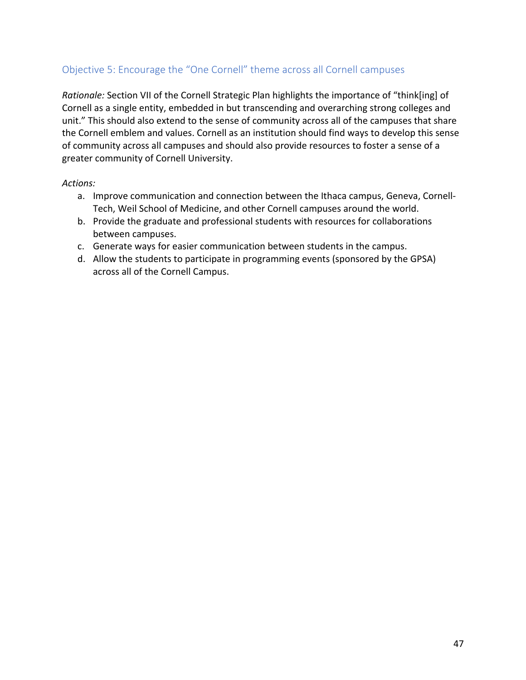## Objective 5: Encourage the "One Cornell" theme across all Cornell campuses

 *Rationale:* Section VII of the Cornell Strategic Plan highlights the importance of "think[ing] of Cornell as a single entity, embedded in but transcending and overarching strong colleges and unit." This should also extend to the sense of community across all of the campuses that share the Cornell emblem and values. Cornell as an institution should find ways to develop this sense of community across all campuses and should also provide resources to foster a sense of a greater community of Cornell University.

- a. Improve communication and connection between the Ithaca campus, Geneva, Cornell-Tech, Weil School of Medicine, and other Cornell campuses around the world.
- b. Provide the graduate and professional students with resources for collaborations between campuses.
- c. Generate ways for easier communication between students in the campus.
- d. Allow the students to participate in programming events (sponsored by the GPSA) across all of the Cornell Campus.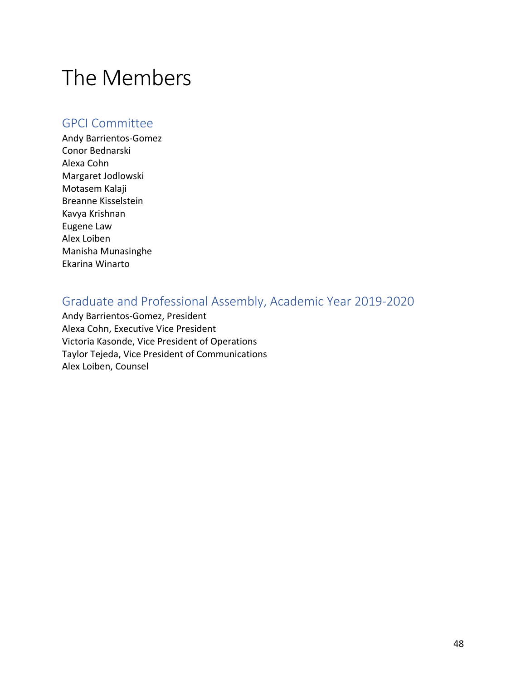# The Members

## GPCI Committee

 Conor Bednarski Alexa Cohn Motasem Kalaji Breanne Kisselstein Eugene Law Andy Barrientos-Gomez Margaret Jodlowski Kavya Krishnan Alex Loiben Manisha Munasinghe Ekarina Winarto

## Graduate and Professional Assembly, Academic Year 2019-2020

 Andy Barrientos-Gomez, President Alexa Cohn, Executive Vice President Victoria Kasonde, Vice President of Operations Taylor Tejeda, Vice President of Communications Alex Loiben, Counsel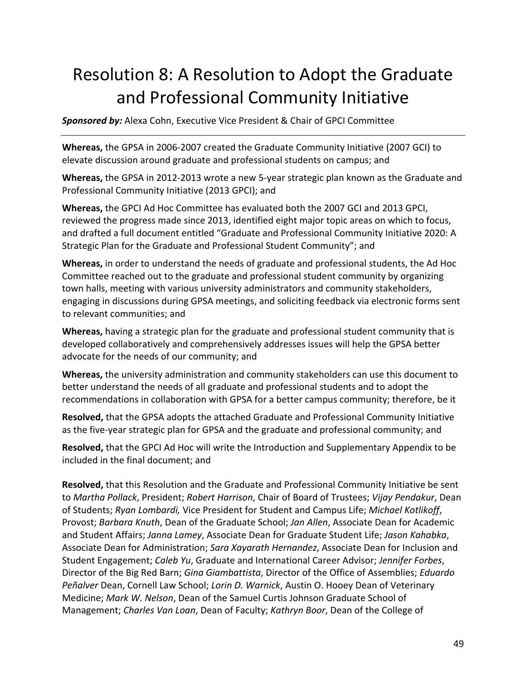## Resolution 8: A Resolution to Adopt the Graduate and Professional Community Initiative

 *Sponsored by:* Alexa Cohn, Executive Vice President & Chair of GPCI Committee

 **Whereas,** the GPSA in 2006-2007 created the Graduate Community Initiative (2007 GCI) to elevate discussion around graduate and professional students on campus; and

 **Whereas,** the GPSA in 2012-2013 wrote a new 5-year strategic plan known as the Graduate and Professional Community Initiative (2013 GPCI); and

 **Whereas,** the GPCI Ad Hoc Committee has evaluated both the 2007 GCI and 2013 GPCI, reviewed the progress made since 2013, identified eight major topic areas on which to focus, and drafted a full document entitled "Graduate and Professional Community Initiative 2020: A Strategic Plan for the Graduate and Professional Student Community"; and

 **Whereas,** in order to understand the needs of graduate and professional students, the Ad Hoc Committee reached out to the graduate and professional student community by organizing town halls, meeting with various university administrators and community stakeholders, engaging in discussions during GPSA meetings, and soliciting feedback via electronic forms sent to relevant communities; and

 **Whereas,** having a strategic plan for the graduate and professional student community that is developed collaboratively and comprehensively addresses issues will help the GPSA better advocate for the needs of our community; and

 **Whereas,** the university administration and community stakeholders can use this document to better understand the needs of all graduate and professional students and to adopt the recommendations in collaboration with GPSA for a better campus community; therefore, be it

 **Resolved,** that the GPSA adopts the attached Graduate and Professional Community Initiative as the five-year strategic plan for GPSA and the graduate and professional community; and

 **Resolved,** that the GPCI Ad Hoc will write the Introduction and Supplementary Appendix to be included in the final document; and

 **Resolved,** that this Resolution and the Graduate and Professional Community Initiative be sent to *Martha Pollack*, President; *Robert Harrison*, Chair of Board of Trustees; *Vijay Pendakur*, Dean of Students; *Ryan Lombardi,* Vice President for Student and Campus Life; *Michael Kotlikoff*, Provost; *Barbara Knuth*, Dean of the Graduate School; *Jan Allen*, Associate Dean for Academic and Student Affairs; *Janna Lamey*, Associate Dean for Graduate Student Life; *Jason Kahabka*, Associate Dean for Administration; *Sara Xayarath Hernandez*, Associate Dean for Inclusion and Student Engagement; *Caleb Yu*, Graduate and International Career Advisor; *Jennifer Forbes*, Director of the Big Red Barn; *Gina Giambattista*, Director of the Office of Assemblies; *Eduardo Peñalver* Dean, Cornell Law School; *Lorin D. Warnick*, Austin O. Hooey Dean of Veterinary  Medicine; *Mark W. Nelson*, Dean of the Samuel Curtis Johnson Graduate School of Management; *Charles Van Loan*, Dean of Faculty; *Kathryn Boor*, Dean of the College of